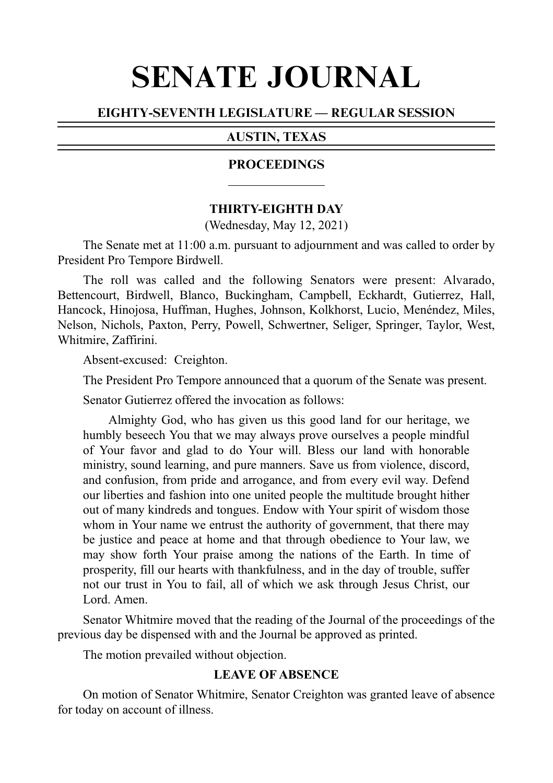# SENATE JOURNAL

#### EIGHTY-SEVENTH LEGISLATURE — REGULAR SESSION

#### AUSTIN, TEXAS

#### PROCEEDINGS

#### **THIRTY-EIGHTH DAY**

(Wednesday, May 12, 2021)

The Senate met at 11:00 a.m. pursuant to adjournment and was called to order by President Pro Tempore Birdwell.

The roll was called and the following Senators were present: Alvarado, Bettencourt, Birdwell, Blanco, Buckingham, Campbell, Eckhardt, Gutierrez, Hall, Hancock, Hinojosa, Huffman, Hughes, Johnson, Kolkhorst, Lucio, Menéndez, Miles, Nelson, Nichols, Paxton, Perry, Powell, Schwertner, Seliger, Springer, Taylor, West, Whitmire, Zaffirini.

Absent-excused: Creighton.

The President Pro Tempore announced that a quorum of the Senate was present.

Senator Gutierrez offered the invocation as follows:

Almighty God, who has given us this good land for our heritage, we humbly beseech You that we may always prove ourselves a people mindful of Your favor and glad to do Your will. Bless our land with honorable ministry, sound learning, and pure manners. Save us from violence, discord, and confusion, from pride and arrogance, and from every evil way. Defend our liberties and fashion into one united people the multitude brought hither out of many kindreds and tongues. Endow with Your spirit of wisdom those whom in Your name we entrust the authority of government, that there may be justice and peace at home and that through obedience to Your law, we may show forth Your praise among the nations of the Earth. In time of prosperity, fill our hearts with thankfulness, and in the day of trouble, suffer not our trust in You to fail, all of which we ask through Jesus Christ, our Lord. Amen.

Senator Whitmire moved that the reading of the Journal of the proceedings of the previous day be dispensed with and the Journal be approved as printed.

The motion prevailed without objection.

# **LEAVE OF ABSENCE**

On motion of Senator Whitmire, Senator Creighton was granted leave of absence for today on account of illness.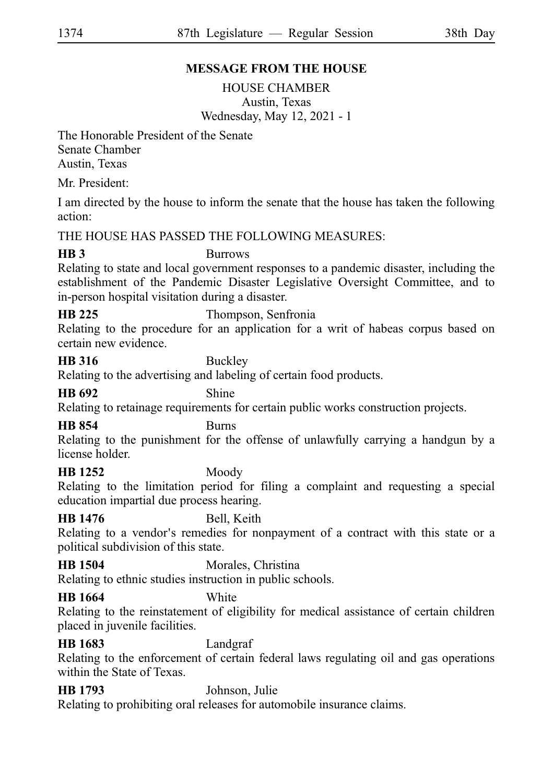# **MESSAGE FROM THE HOUSE**

HOUSE CHAMBER Austin, Texas Wednesday, May 12, 2021 - 1

The Honorable President of the Senate Senate Chamber Austin, Texas

Mr. President:

I am directed by the house to inform the senate that the house has taken the following action:

THE HOUSE HAS PASSED THE FOLLOWING MEASURES:

**HB 3** Burrows

Relating to state and local government responses to a pandemic disaster, including the establishment of the Pandemic Disaster Legislative Oversight Committee, and to in-person hospital visitation during a disaster.

**HB 225** Thompson, Senfronia

Relating to the procedure for an application for a writ of habeas corpus based on certain new evidence.

# **HB 316** Buckley

Relating to the advertising and labeling of certain food products.

#### **HB 692** Shine

Relating to retainage requirements for certain public works construction projects.

### **HB 854** Burns

Relating to the punishment for the offense of unlawfully carrying a handgun by a license holder.

### **HB 1252** Moody

Relating to the limitation period for filing a complaint and requesting a special education impartial due process hearing.

### **HB 1476** Bell, Keith

Relating to a vendor's remedies for nonpayment of a contract with this state or a political subdivision of this state.

**HB 1504** Morales, Christina

Relating to ethnic studies instruction in public schools.

#### **HB** 1664

Relating to the reinstatement of eligibility for medical assistance of certain children placed in juvenile facilities.

**HB 1683** Landgraf

Relating to the enforcement of certain federal laws regulating oil and gas operations within the State of Texas.

# **HB 1793** Johnson, Julie

Relating to prohibiting oral releases for automobile insurance claims.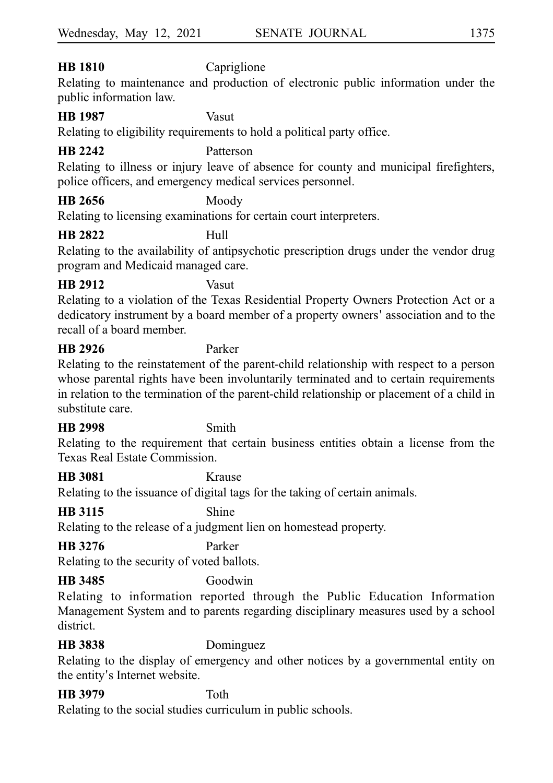# **HB 1810** Capriglione

Relating to maintenance and production of electronic public information under the public information law.

#### **HB 1987** Vasut

Relating to eligibility requirements to hold a political party office.

# **HB 2242** Patterson

Relating to illness or injury leave of absence for county and municipal firefighters, police officers, and emergency medical services personnel.

# **HB 2656** Moody

Relating to licensing examinations for certain court interpreters.

### **HB 2822** Hull

Relating to the availability of antipsychotic prescription drugs under the vendor drug program and Medicaid managed care.

# **HB 2912** Vasut

Relating to a violation of the Texas Residential Property Owners Protection Act or a dedicatory instrument by a board member of a property owners 'association and to the recall of a board member.

# **HB 2926** Parker

Relating to the reinstatement of the parent-child relationship with respect to a person whose parental rights have been involuntarily terminated and to certain requirements in relation to the termination of the parent-child relationship or placement of a child in substitute care.

### **HB 2998** Smith

Relating to the requirement that certain business entities obtain a license from the Texas Real Estate Commission.

**HB 3081** Krause

Relating to the issuance of digital tags for the taking of certain animals.

### **HB 3115** Shine

Relating to the release of a judgment lien on homestead property.

# **HB 3276** Parker

Relating to the security of voted ballots.

# **HB 3485** Goodwin

Relating to information reported through the Public Education Information Management System and to parents regarding disciplinary measures used by a school district.

**HB 3838** Dominguez

Relating to the display of emergency and other notices by a governmental entity on the entity's Internet website.

# **HB 3979** Toth

Relating to the social studies curriculum in public schools.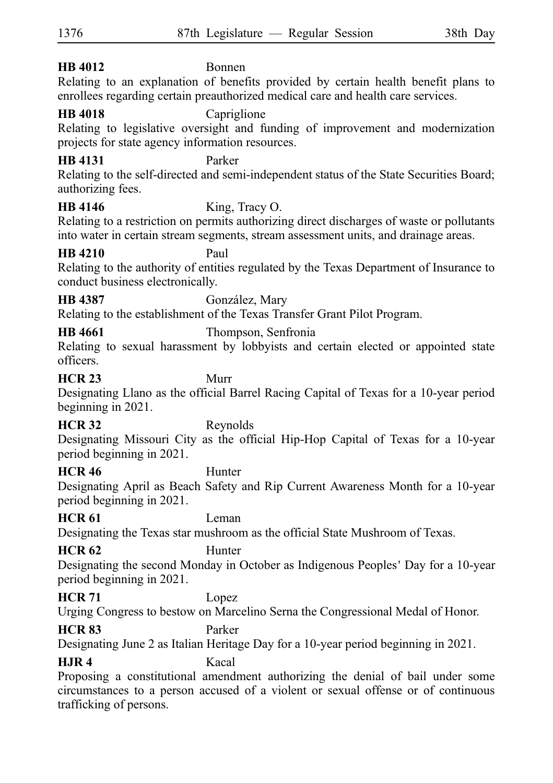| <b>HB</b> 4012                                                                                                                                                                                                          | Bonnen                                                                                                                                                                                             |
|-------------------------------------------------------------------------------------------------------------------------------------------------------------------------------------------------------------------------|----------------------------------------------------------------------------------------------------------------------------------------------------------------------------------------------------|
| Relating to an explanation of benefits provided by certain health benefit plans to<br>enrollees regarding certain preauthorized medical care and health care services.                                                  |                                                                                                                                                                                                    |
| <b>HB</b> 4018<br>Capriglione<br>Relating to legislative oversight and funding of improvement and modernization<br>projects for state agency information resources.                                                     |                                                                                                                                                                                                    |
| <b>HB</b> 4131<br>authorizing fees.                                                                                                                                                                                     | Parker<br>Relating to the self-directed and semi-independent status of the State Securities Board;                                                                                                 |
| HB 4146                                                                                                                                                                                                                 | King, Tracy O.<br>Relating to a restriction on permits authorizing direct discharges of waste or pollutants<br>into water in certain stream segments, stream assessment units, and drainage areas. |
| <b>HB</b> 4210<br>conduct business electronically.                                                                                                                                                                      | Paul<br>Relating to the authority of entities regulated by the Texas Department of Insurance to                                                                                                    |
| HB 4387                                                                                                                                                                                                                 | González, Mary                                                                                                                                                                                     |
|                                                                                                                                                                                                                         | Relating to the establishment of the Texas Transfer Grant Pilot Program.                                                                                                                           |
| <b>HB</b> 4661<br>officers.                                                                                                                                                                                             | Thompson, Senfronia<br>Relating to sexual harassment by lobbyists and certain elected or appointed state                                                                                           |
| <b>HCR 23</b><br>beginning in 2021.                                                                                                                                                                                     | Murr<br>Designating Llano as the official Barrel Racing Capital of Texas for a 10-year period                                                                                                      |
| <b>HCR 32</b><br>period beginning in 2021.                                                                                                                                                                              | Reynolds<br>Designating Missouri City as the official Hip-Hop Capital of Texas for a 10-year                                                                                                       |
| <b>HCR 46</b><br>period beginning in 2021.                                                                                                                                                                              | Hunter<br>Designating April as Beach Safety and Rip Current Awareness Month for a 10-year                                                                                                          |
| <b>HCR 61</b>                                                                                                                                                                                                           | Leman<br>Designating the Texas star mushroom as the official State Mushroom of Texas.                                                                                                              |
| <b>HCR 62</b><br>Hunter<br>Designating the second Monday in October as Indigenous Peoples' Day for a 10-year<br>period beginning in 2021.                                                                               |                                                                                                                                                                                                    |
| <b>HCR 71</b>                                                                                                                                                                                                           | Lopez<br>Urging Congress to bestow on Marcelino Serna the Congressional Medal of Honor.                                                                                                            |
| <b>HCR 83</b>                                                                                                                                                                                                           | Parker<br>Designating June 2 as Italian Heritage Day for a 10-year period beginning in 2021.                                                                                                       |
| <b>H.JR4</b><br>Kacal<br>Proposing a constitutional amendment authorizing the denial of bail under some<br>circumstances to a person accused of a violent or sexual offense or of continuous<br>trafficking of persons. |                                                                                                                                                                                                    |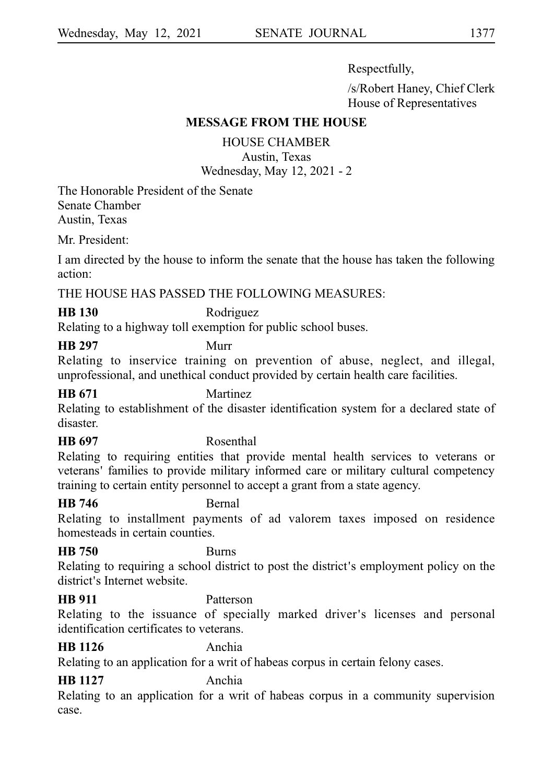Respectfully,

/s/Robert Haney, Chief Clerk House of Representatives

#### **MESSAGE FROM THE HOUSE**

HOUSE CHAMBER

Austin, Texas Wednesday, May 12, 2021 - 2

The Honorable President of the Senate Senate Chamber Austin, Texas

Mr. President:

I am directed by the house to inform the senate that the house has taken the following action:

### THE HOUSE HAS PASSED THE FOLLOWING MEASURES:

**HB 130** Rodriguez

Relating to a highway toll exemption for public school buses.

**HB 297** Murr

Relating to inservice training on prevention of abuse, neglect, and illegal, unprofessional, and unethical conduct provided by certain health care facilities.

# **HB 671** Martinez

Relating to establishment of the disaster identification system for a declared state of disaster.

### **HB 697** Rosenthal

Relating to requiring entities that provide mental health services to veterans or veterans' families to provide military informed care or military cultural competency training to certain entity personnel to accept a grant from a state agency.

#### **HB 746** Bernal

Relating to installment payments of ad valorem taxes imposed on residence homesteads in certain counties.

#### **HB 750** Burns

Relating to requiring a school district to post the district's employment policy on the district's Internet website.

### **HB 911** Patterson

Relating to the issuance of specially marked driver's licenses and personal identification certificates to veterans.

# **HB 1126** Anchia

Relating to an application for a writ of habeas corpus in certain felony cases.

# **HB 1127** Anchia

Relating to an application for a writ of habeas corpus in a community supervision case.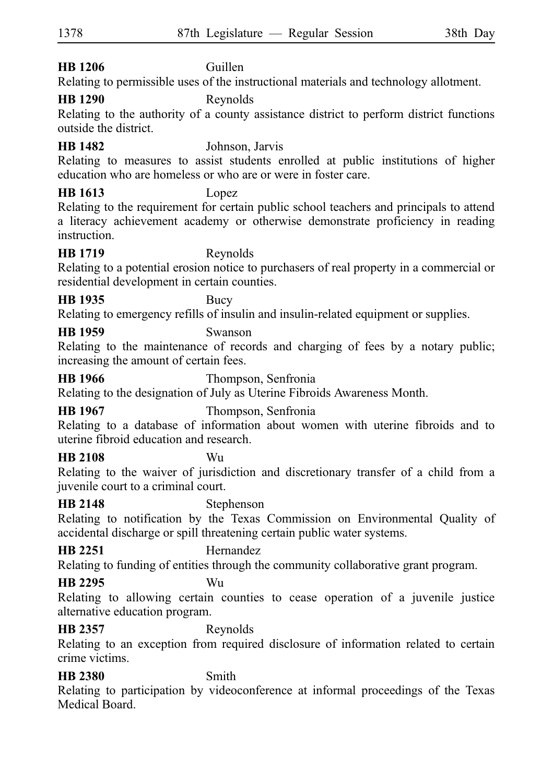# **HB 1206** Guillen

Relating to permissible uses of the instructional materials and technology allotment.

# **HB 1290** Reynolds

Relating to the authority of a county assistance district to perform district functions outside the district.

**HB 1482** Johnson, Jarvis

Relating to measures to assist students enrolled at public institutions of higher education who are homeless or who are or were in foster care.

# **HB 1613** Lopez

Relating to the requirement for certain public school teachers and principals to attend a literacy achievement academy or otherwise demonstrate proficiency in reading instruction.

#### **HB 1719** Reynolds

Relating to a potential erosion notice to purchasers of real property in a commercial or residential development in certain counties.

# **HB 1935** Bucy

Relating to emergency refills of insulin and insulin-related equipment or supplies.

# **HB 1959** Swanson

Relating to the maintenance of records and charging of fees by a notary public; increasing the amount of certain fees.

**HB 1966** Thompson, Senfronia

Relating to the designation of July as Uterine Fibroids Awareness Month.

**HB 1967** Thompson, Senfronia

Relating to a database of information about women with uterine fibroids and to uterine fibroid education and research.

### **HB 2108** Wu

Relating to the waiver of jurisdiction and discretionary transfer of a child from a juvenile court to a criminal court.

# **HB 2148** Stephenson

Relating to notification by the Texas Commission on Environmental Quality of accidental discharge or spill threatening certain public water systems.

# **HB 2251** Hernandez

Relating to funding of entities through the community collaborative grant program.

### **HB 2295** Wu

Relating to allowing certain counties to cease operation of a juvenile justice alternative education program.

# **HB 2357** Reynolds

Relating to an exception from required disclosure of information related to certain crime victims.

# **HB 2380** Smith

Relating to participation by videoconference at informal proceedings of the Texas Medical Board.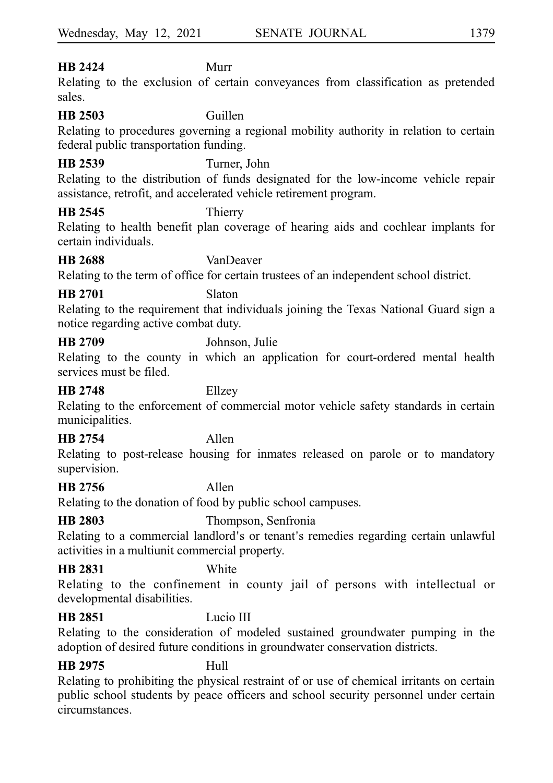# **HB 2424** Murr

Relating to the exclusion of certain conveyances from classification as pretended sales.

#### **HB 2503** Guillen

Relating to procedures governing a regional mobility authority in relation to certain federal public transportation funding.

#### **HB 2539** Turner, John

Relating to the distribution of funds designated for the low-income vehicle repair assistance, retrofit, and accelerated vehicle retirement program.

#### **HB 2545** Thierry

Relating to health benefit plan coverage of hearing aids and cochlear implants for certain individuals.

**HB 2688** VanDeaver

Relating to the term of office for certain trustees of an independent school district.

#### **HB 2701** Slaton

Relating to the requirement that individuals joining the Texas National Guard sign a notice regarding active combat duty.

**HB 2709** Johnson, Julie

Relating to the county in which an application for court-ordered mental health services must be filed.

#### **HB 2748** Ellzey

Relating to the enforcement of commercial motor vehicle safety standards in certain municipalities.

### **HB 2754** Allen

Relating to post-release housing for inmates released on parole or to mandatory supervision.

#### **HB 2756** Allen

Relating to the donation of food by public school campuses.

### **HB 2803** Thompson, Senfronia

Relating to a commercial landlord's or tenant's remedies regarding certain unlawful activities in a multiunit commercial property.

#### **HB 2831** White

Relating to the confinement in county jail of persons with intellectual or developmental disabilities.

# **HB 2851** Lucio III

Relating to the consideration of modeled sustained groundwater pumping in the adoption of desired future conditions in groundwater conservation districts.

### **HB 2975** Hull

Relating to prohibiting the physical restraint of or use of chemical irritants on certain public school students by peace officers and school security personnel under certain circumstances.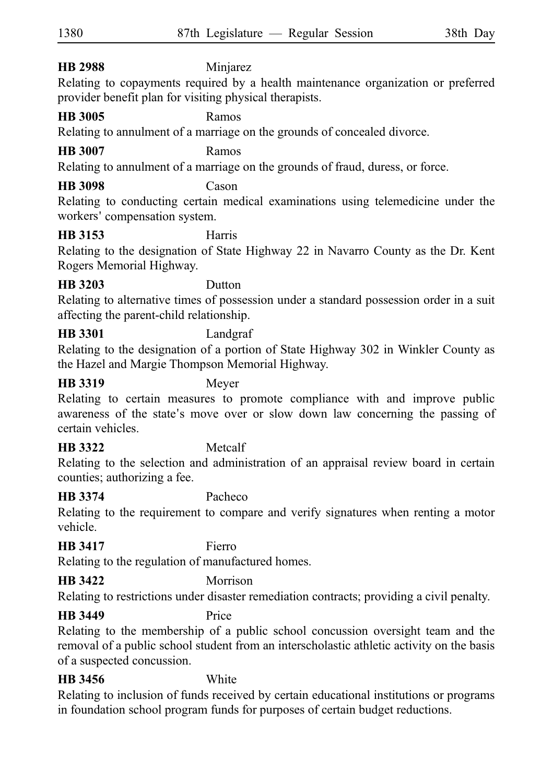# **HB 2988** Minjarez

Relating to copayments required by a health maintenance organization or preferred provider benefit plan for visiting physical therapists.

# **HB 3005** Ramos

Relating to annulment of a marriage on the grounds of concealed divorce.

# **HB 3007** Ramos

Relating to annulment of a marriage on the grounds of fraud, duress, or force.

# **HB 3098** Cason

Relating to conducting certain medical examinations using telemedicine under the workers' compensation system.

# **HB 3153** Harris

Relating to the designation of State Highway 22 in Navarro County as the Dr. Kent Rogers Memorial Highway.

### **HB 3203** Dutton

Relating to alternative times of possession under a standard possession order in a suit affecting the parent-child relationship.

# **HB 3301** Landgraf

Relating to the designation of a portion of State Highway 302 in Winkler County as the Hazel and Margie Thompson Memorial Highway.

#### **HB 3319** Meyer

Relating to certain measures to promote compliance with and improve public awareness of the state's move over or slow down law concerning the passing of certain vehicles.

# **HB 3322** Metcalf

Relating to the selection and administration of an appraisal review board in certain counties; authorizing a fee.

# **HB 3374** Pacheco

Relating to the requirement to compare and verify signatures when renting a motor vehicle.

### **HB 3417** Fierro

Relating to the regulation of manufactured homes.

# **HB 3422** Morrison

Relating to restrictions under disaster remediation contracts; providing a civil penalty.

### **HB 3449** Price

Relating to the membership of a public school concussion oversight team and the removal of a public school student from an interscholastic athletic activity on the basis of a suspected concussion.

# **HB 3456** White

Relating to inclusion of funds received by certain educational institutions or programs in foundation school program funds for purposes of certain budget reductions.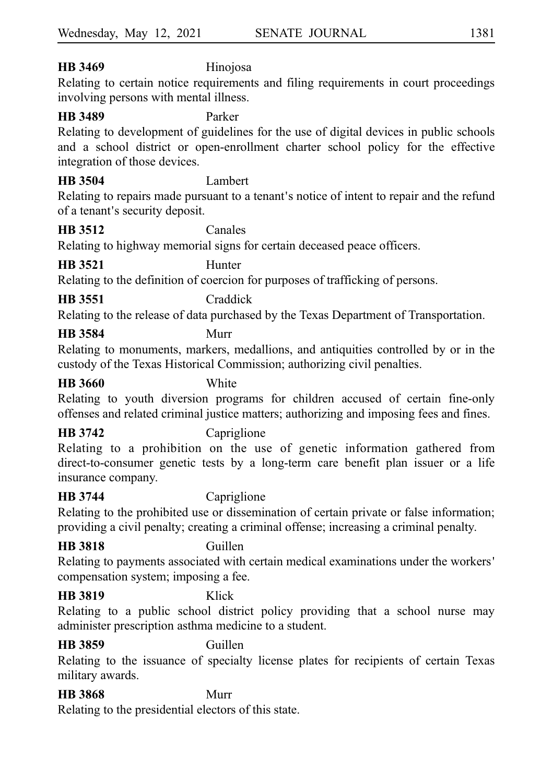# **HB 3469** Hinojosa

Relating to certain notice requirements and filing requirements in court proceedings involving persons with mental illness.

#### **HB 3489** Parker

Relating to development of guidelines for the use of digital devices in public schools and a school district or open-enrollment charter school policy for the effective integration of those devices.

#### **HB 3504** Lambert

Relating to repairs made pursuant to a tenant's notice of intent to repair and the refund of a tenant's security deposit.

#### **HB 3512** Canales

Relating to highway memorial signs for certain deceased peace officers.

### **HB 3521** Hunter

Relating to the definition of coercion for purposes of trafficking of persons.

# **HB 3551** Craddick

Relating to the release of data purchased by the Texas Department of Transportation.

# **HB 3584** Murr

Relating to monuments, markers, medallions, and antiquities controlled by or in the custody of the Texas Historical Commission; authorizing civil penalties.

#### **HB 3660** White

Relating to youth diversion programs for children accused of certain fine-only offenses and related criminal justice matters; authorizing and imposing fees and fines.

**HB 3742** Capriglione

Relating to a prohibition on the use of genetic information gathered from direct-to-consumer genetic tests by a long-term care benefit plan issuer or a life insurance company.

### **HB 3744** Capriglione

Relating to the prohibited use or dissemination of certain private or false information; providing a civil penalty; creating a criminal offense; increasing a criminal penalty.

#### **HB 3818** Guillen

Relating to payments associated with certain medical examinations under the workers ' compensation system; imposing a fee.

#### **HB 3819** Klick

Relating to a public school district policy providing that a school nurse may administer prescription asthma medicine to a student.

#### **HB 3859** Guillen

Relating to the issuance of specialty license plates for recipients of certain Texas military awards.

# **HB 3868** Murr

Relating to the presidential electors of this state.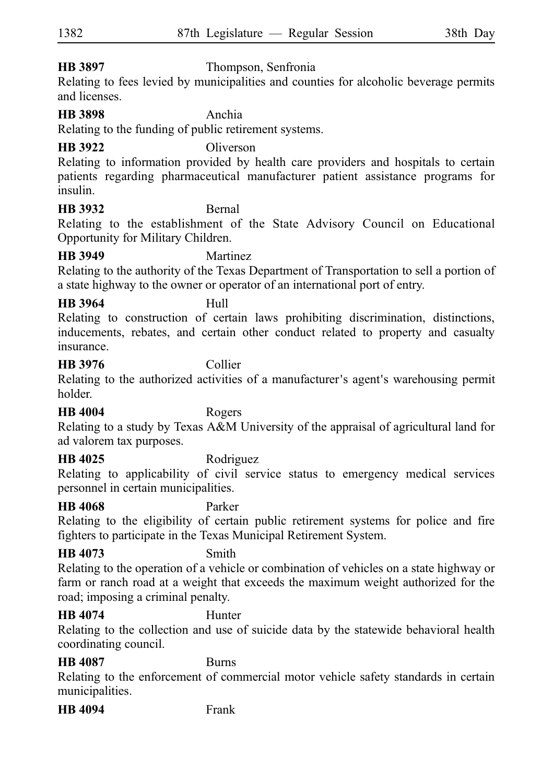#### **HB 3897** Thompson, Senfronia

Relating to fees levied by municipalities and counties for alcoholic beverage permits and licenses.

#### **HB 3898** Anchia

Relating to the funding of public retirement systems.

#### **HB 3922** Oliverson

Relating to information provided by health care providers and hospitals to certain patients regarding pharmaceutical manufacturer patient assistance programs for insulin.

#### **HB 3932** Bernal

Relating to the establishment of the State Advisory Council on Educational Opportunity for Military Children.

#### **HB 3949** Martinez

Relating to the authority of the Texas Department of Transportation to sell a portion of a state highway to the owner or operator of an international port of entry.

# **HB 3964** Hull

Relating to construction of certain laws prohibiting discrimination, distinctions, inducements, rebates, and certain other conduct related to property and casualty insurance.

#### **HB 3976** Collier

Relating to the authorized activities of a manufacturer's agent's warehousing permit holder.

#### **HB 4004** Rogers

Relating to a study by Texas A&M University of the appraisal of agricultural land for ad valorem tax purposes.

**HB 4025** Rodriguez

Relating to applicability of civil service status to emergency medical services personnel in certain municipalities.

#### **HB 4068** Parker

Relating to the eligibility of certain public retirement systems for police and fire fighters to participate in the Texas Municipal Retirement System.

**HB 4073** Smith

Relating to the operation of a vehicle or combination of vehicles on a state highway or farm or ranch road at a weight that exceeds the maximum weight authorized for the road; imposing a criminal penalty.

# **HB 4074** Hunter

Relating to the collection and use of suicide data by the statewide behavioral health coordinating council.

#### **HB 4087** Burns

Relating to the enforcement of commercial motor vehicle safety standards in certain municipalities.

**HB 4094** Frank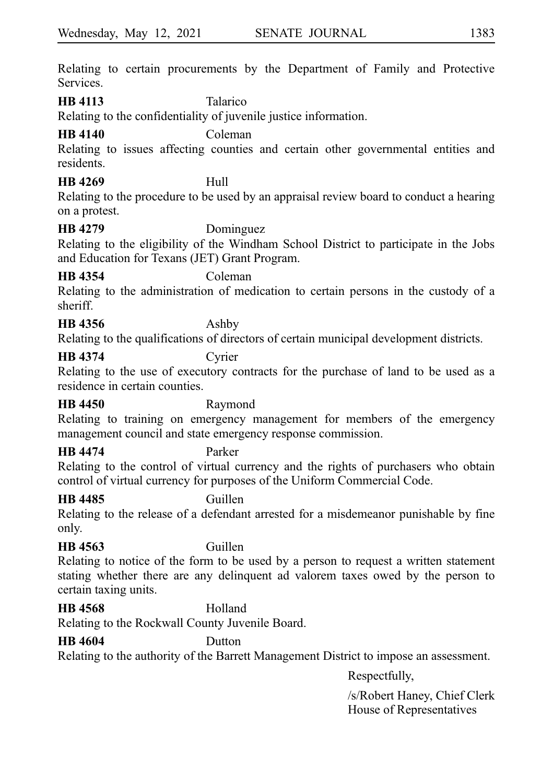Relating to certain procurements by the Department of Family and Protective Services.

**HB 4113** Talarico

Relating to the confidentiality of juvenile justice information.

# **HB 4140** Coleman

Relating to issues affecting counties and certain other governmental entities and residents.

# **HB 4269** Hull

Relating to the procedure to be used by an appraisal review board to conduct a hearing on a protest.

### **HB 4279** Dominguez

Relating to the eligibility of the Windham School District to participate in the Jobs and Education for Texans (JET) Grant Program.

#### **HB 4354** Coleman

Relating to the administration of medication to certain persons in the custody of a sheriff.

# **HB 4356** Ashby

Relating to the qualifications of directors of certain municipal development districts.

### **HB 4374** Cyrier

Relating to the use of executory contracts for the purchase of land to be used as a residence in certain counties.

#### **HB 4450** Raymond

Relating to training on emergency management for members of the emergency management council and state emergency response commission.

# **HB 4474** Parker

Relating to the control of virtual currency and the rights of purchasers who obtain control of virtual currency for purposes of the Uniform Commercial Code.

### **HB 4485** Guillen

Relating to the release of a defendant arrested for a misdemeanor punishable by fine only.

### **HB 4563** Guillen

Relating to notice of the form to be used by a person to request a written statement stating whether there are any delinquent ad valorem taxes owed by the person to certain taxing units.

**HB 4568** Holland Relating to the Rockwall County Juvenile Board.

# **HB 4604** Dutton

Relating to the authority of the Barrett Management District to impose an assessment.

Respectfully,

/s/Robert Haney, Chief Clerk House of Representatives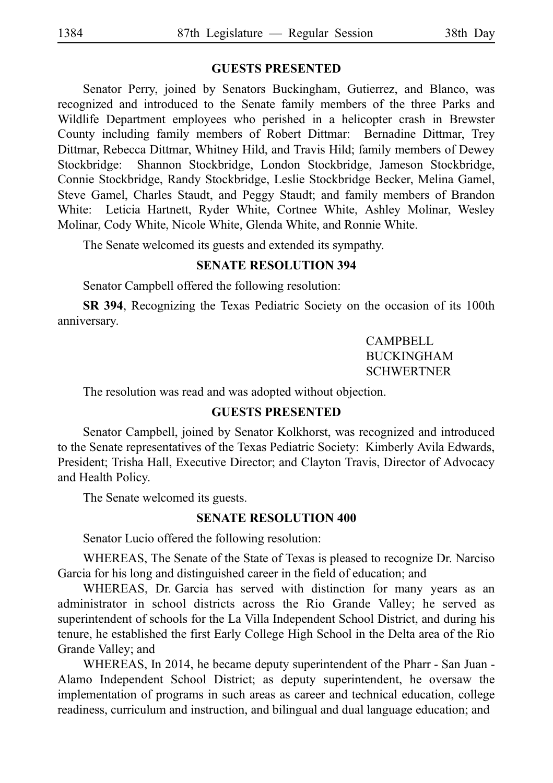#### **GUESTS PRESENTED**

Senator Perry, joined by Senators Buckingham, Gutierrez, and Blanco, was recognized and introduced to the Senate family members of the three Parks and Wildlife Department employees who perished in a helicopter crash in Brewster County including family members of Robert Dittmar: Bernadine Dittmar, Trey Dittmar, Rebecca Dittmar, Whitney Hild, and Travis Hild; family members of Dewey Stockbridge: Shannon Stockbridge, London Stockbridge, Jameson Stockbridge, Connie Stockbridge, Randy Stockbridge, Leslie Stockbridge Becker, Melina Gamel, Steve Gamel, Charles Staudt, and Peggy Staudt; and family members of Brandon White: Leticia Hartnett, Ryder White, Cortnee White, Ashley Molinar, Wesley Molinar, Cody White, Nicole White, Glenda White, and Ronnie White.

The Senate welcomed its guests and extended its sympathy.

#### **SENATE RESOLUTION 394**

Senator Campbell offered the following resolution:

**SR 394**, Recognizing the Texas Pediatric Society on the occasion of its 100th anniversary.

> CAMPBELL BUCKINGHAM **SCHWERTNER**

The resolution was read and was adopted without objection.

#### **GUESTS PRESENTED**

Senator Campbell, joined by Senator Kolkhorst, was recognized and introduced to the Senate representatives of the Texas Pediatric Society: Kimberly Avila Edwards, President; Trisha Hall, Executive Director; and Clayton Travis, Director of Advocacy and Health Policy.

The Senate welcomed its guests.

#### **SENATE RESOLUTION 400**

Senator Lucio offered the following resolution:

WHEREAS, The Senate of the State of Texas is pleased to recognize Dr. Narciso Garcia for his long and distinguished career in the field of education; and

WHEREAS, Dr. Garcia has served with distinction for many years as an administrator in school districts across the Rio Grande Valley; he served as superintendent of schools for the La Villa Independent School District, and during his tenure, he established the first Early College High School in the Delta area of the Rio Grande Valley; and

WHEREAS, In 2014, he became deputy superintendent of the Pharr - San Juan - Alamo Independent School District; as deputy superintendent, he oversaw the implementation of programs in such areas as career and technical education, college readiness, curriculum and instruction, and bilingual and dual language education; and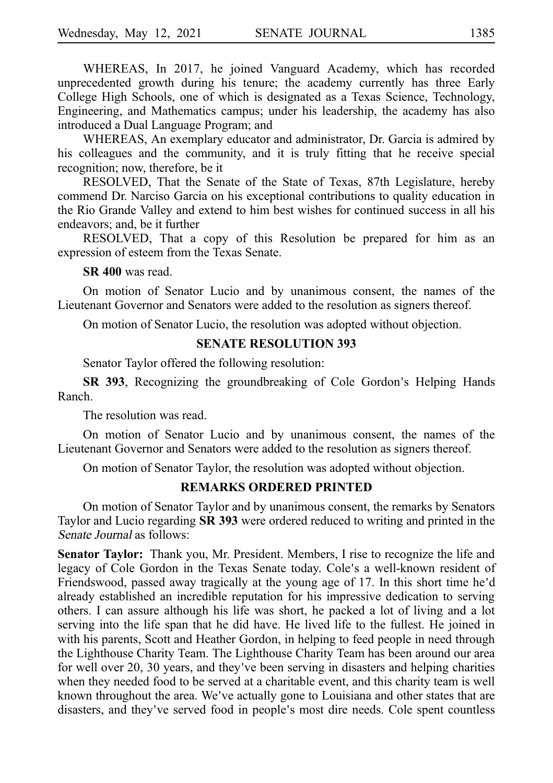WHEREAS, In 2017, he joined Vanguard Academy, which has recorded unprecedented growth during his tenure; the academy currently has three Early College High Schools, one of which is designated as a Texas Science, Technology, Engineering, and Mathematics campus; under his leadership, the academy has also introduced a Dual Language Program; and

WHEREAS, An exemplary educator and administrator, Dr. Garcia is admired by his colleagues and the community, and it is truly fitting that he receive special recognition; now, therefore, be it

RESOLVED, That the Senate of the State of Texas, 87th Legislature, hereby commend Dr. Narciso Garcia on his exceptional contributions to quality education in the Rio Grande Valley and extend to him best wishes for continued success in all his endeavors; and, be it further

RESOLVED, That a copy of this Resolution be prepared for him as an expression of esteem from the Texas Senate.

**SR 400** was read.

On motion of Senator Lucio and by unanimous consent, the names of the Lieutenant Governor and Senators were added to the resolution as signers thereof.

On motion of Senator Lucio, the resolution was adopted without objection.

#### **SENATE RESOLUTION 393**

Senator Taylor offered the following resolution:

**SR 393**, Recognizing the groundbreaking of Cole Gordon's Helping Hands Ranch.

The resolution was read.

On motion of Senator Lucio and by unanimous consent, the names of the Lieutenant Governor and Senators were added to the resolution as signers thereof.

On motion of Senator Taylor, the resolution was adopted without objection.

#### **REMARKS ORDERED PRINTED**

On motion of Senator Taylor and by unanimous consent, the remarks by Senators Taylor and Lucio regarding **SR 393** were ordered reduced to writing and printed in the Senate Journal as follows:

Senator Taylor: Thank you, Mr. President. Members, I rise to recognize the life and legacy of Cole Gordon in the Texas Senate today. Cole's a well-known resident of Friendswood, passed away tragically at the young age of 17. In this short time he'd already established an incredible reputation for his impressive dedication to serving others. I can assure although his life was short, he packed a lot of living and a lot serving into the life span that he did have. He lived life to the fullest. He joined in with his parents, Scott and Heather Gordon, in helping to feed people in need through the Lighthouse Charity Team. The Lighthouse Charity Team has been around our area for well over 20, 30 years, and they've been serving in disasters and helping charities when they needed food to be served at a charitable event, and this charity team is well known throughout the area. We've actually gone to Louisiana and other states that are disasters, and they've served food in people's most dire needs. Cole spent countless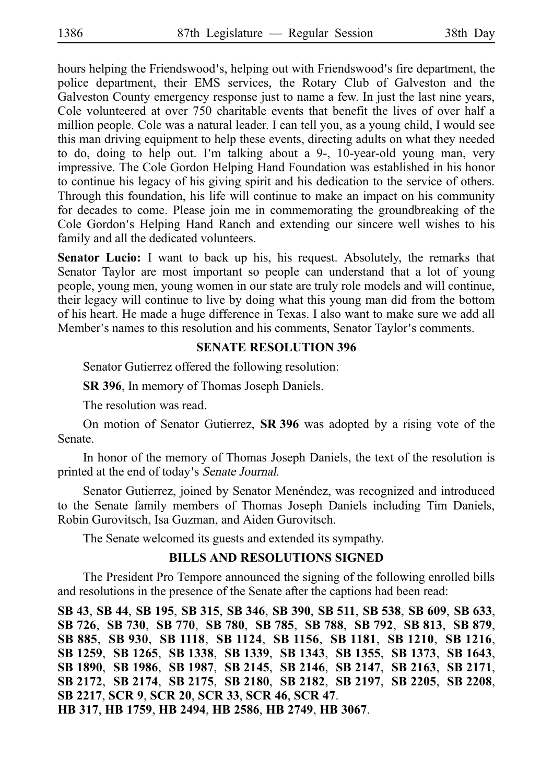hours helping the Friendswood's, helping out with Friendswood's fire department, the police department, their EMS services, the Rotary Club of Galveston and the Galveston County emergency response just to name a few. In just the last nine years, Cole volunteered at over 750 charitable events that benefit the lives of over half a million people. Cole was a natural leader. I can tell you, as a young child, I would see this man driving equipment to help these events, directing adults on what they needed to do, doing to help out. I'm talking about a  $9-$ , 10-year-old young man, very impressive. The Cole Gordon Helping Hand Foundation was established in his honor to continue his legacy of his giving spirit and his dedication to the service of others. Through this foundation, his life will continue to make an impact on his community for decades to come. Please join me in commemorating the groundbreaking of the Cole Gordon's Helping Hand Ranch and extending our sincere well wishes to his family and all the dedicated volunteers.

**Senator Lucio:** I want to back up his, his request. Absolutely, the remarks that Senator Taylor are most important so people can understand that a lot of young people, young men, young women in our state are truly role models and will continue, their legacy will continue to live by doing what this young man did from the bottom of his heart. He made a huge difference in Texas. I also want to make sure we add all Member's names to this resolution and his comments, Senator Taylor's comments.

#### **SENATE RESOLUTION 396**

Senator Gutierrez offered the following resolution:

**SR 396**, In memory of Thomas Joseph Daniels.

The resolution was read.

On motion of Senator Gutierrez, **SRi396** was adopted by a rising vote of the Senate.

In honor of the memory of Thomas Joseph Daniels, the text of the resolution is printed at the end of today's Senate Journal.

Senator Gutierrez, joined by Senator Menéndez, was recognized and introduced to the Senate family members of Thomas Joseph Daniels including Tim Daniels, Robin Gurovitsch, Isa Guzman, and Aiden Gurovitsch.

The Senate welcomed its guests and extended its sympathy.

#### **BILLS AND RESOLUTIONS SIGNED**

The President Pro Tempore announced the signing of the following enrolled bills and resolutions in the presence of the Senate after the captions had been read:

**SB**i**43**, **SB**i**44**, **SB**i**195**, **SB**i**315**, **SB**i**346**, **SB**i**390**, **SB**i**511**, **SB**i**538**, **SB**i**609**, **SB**i**633**, **SB**i**726**, **SB**i**730**, **SB**i**770**, **SB**i**780**, **SB**i**785**, **SB**i**788**, **SB**i**792**, **SB**i**813**, **SB**i**879**, **SB**i**885**, **SB**i**930**, **SB**i**1118**, **SB**i**1124**, **SB**i**1156**, **SB**i**1181**, **SB**i**1210**, **SB**i**1216**, **SB**i**1259**, **SB**i**1265**, **SB**i**1338**, **SB**i**1339**, **SB**i**1343**, **SB**i**1355**, **SB**i**1373**, **SB**i**1643**, **SB**i**1890**, **SB**i**1986**, **SB**i**1987**, **SB**i**2145**, **SB**i**2146**, **SB**i**2147**, **SB**i**2163**, **SB**i**2171**, **SB**i**2172**, **SB**i**2174**, **SB**i**2175**, **SB**i**2180**, **SB**i**2182**, **SB**i**2197**, **SB**i**2205**, **SB**i**2208**, **SB**i**2217**, **SCR**i**9**, **SCR**i**20**, **SCR**i**33**, **SCR**i**46**, **SCR**i**47**. **HB**i**317**, **HB**i**1759**, **HB**i**2494**, **HB**i**2586**, **HB**i**2749**, **HB**i**3067**.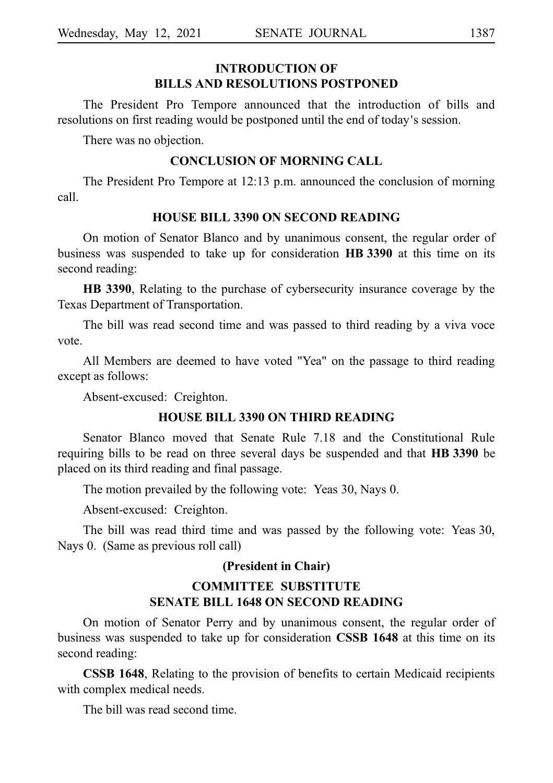#### **INTRODUCTION OF BILLS AND RESOLUTIONS POSTPONED**

The President Pro Tempore announced that the introduction of bills and resolutions on first reading would be postponed until the end of today's session.

There was no objection.

#### **CONCLUSION OF MORNING CALL**

The President Pro Tempore at 12:13 p.m. announced the conclusion of morning call.

#### **HOUSE BILL 3390 ON SECOND READING**

On motion of Senator Blanco and by unanimous consent, the regular order of business was suspended to take up for consideration **HBi3390** at this time on its second reading:

**HB 3390**, Relating to the purchase of cybersecurity insurance coverage by the Texas Department of Transportation.

The bill was read second time and was passed to third reading by a viva voce vote.

All Members are deemed to have voted "Yea" on the passage to third reading except as follows:

Absent-excused: Creighton.

#### **HOUSE BILL 3390 ON THIRD READING**

Senator Blanco moved that Senate Rule 7.18 and the Constitutional Rule requiring bills to be read on three several days be suspended and that **HBi3390** be placed on its third reading and final passage.

The motion prevailed by the following vote: Yeas 30, Nays 0.

Absent-excused: Creighton.

The bill was read third time and was passed by the following vote: Yeas 30, Nays 0. (Same as previous roll call)

#### **(President in Chair)**

#### **COMMITTEE SUBSTITUTE SENATE BILL 1648 ON SECOND READING**

On motion of Senator Perry and by unanimous consent, the regular order of business was suspended to take up for consideration **CSSB 1648** at this time on its second reading:

**CSSB 1648**, Relating to the provision of benefits to certain Medicaid recipients with complex medical needs.

The bill was read second time.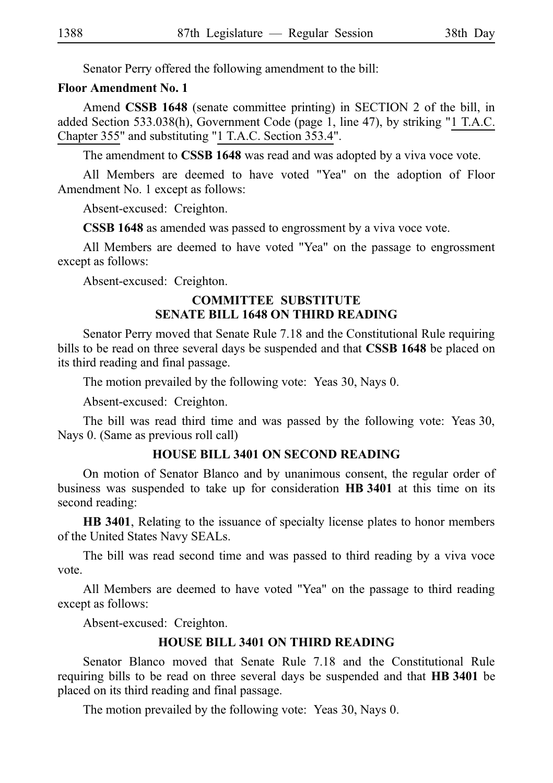Senator Perry offered the following amendment to the bill:

#### **Floor Amendment No. 1**

Amend **CSSB 1648** (senate committee printing) in SECTION 2 of the bill, in added Section 533.038(h), Government Code (page 1, line 47), by striking "1 T.A.C. Chapter 355" and substituting "1 T.A.C. Section 353.4".

The amendment to **CSSB 1648** was read and was adopted by a viva voce vote.

All Members are deemed to have voted "Yea" on the adoption of Floor Amendment No. 1 except as follows:

Absent-excused: Creighton.

**CSSB 1648** as amended was passed to engrossment by a viva voce vote.

All Members are deemed to have voted "Yea" on the passage to engrossment except as follows:

Absent-excused: Creighton.

#### **COMMITTEE SUBSTITUTE SENATE BILL 1648 ON THIRD READING**

Senator Perry moved that Senate Rule 7.18 and the Constitutional Rule requiring bills to be read on three several days be suspended and that **CSSB 1648** be placed on its third reading and final passage.

The motion prevailed by the following vote: Yeas 30, Nays 0.

Absent-excused: Creighton.

The bill was read third time and was passed by the following vote: Yeas 30, Nays 0. (Same as previous roll call)

### **HOUSE BILL 3401 ON SECOND READING**

On motion of Senator Blanco and by unanimous consent, the regular order of business was suspended to take up for consideration HB 3401 at this time on its second reading:

**HB 3401**, Relating to the issuance of specialty license plates to honor members of the United States Navy SEALs.

The bill was read second time and was passed to third reading by a viva voce vote.

All Members are deemed to have voted "Yea" on the passage to third reading except as follows:

Absent-excused: Creighton.

### **HOUSE BILL 3401 ON THIRD READING**

Senator Blanco moved that Senate Rule 7.18 and the Constitutional Rule requiring bills to be read on three several days be suspended and that **HBi3401** be placed on its third reading and final passage.

The motion prevailed by the following vote: Yeas 30, Nays 0.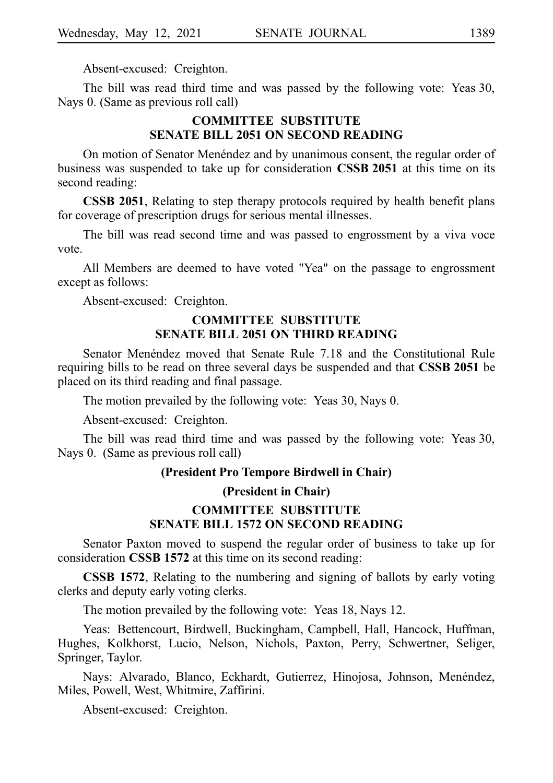Absent-excused: Creighton.

The bill was read third time and was passed by the following vote: Yeas 30, Nays 0. (Same as previous roll call)

#### **COMMITTEE SUBSTITUTE SENATE BILL 2051 ON SECOND READING**

On motion of Senator Menéndez and by unanimous consent, the regular order of business was suspended to take up for consideration **CSSB 2051** at this time on its second reading:

**CSSB 2051**, Relating to step therapy protocols required by health benefit plans for coverage of prescription drugs for serious mental illnesses.

The bill was read second time and was passed to engrossment by a viva voce vote.

All Members are deemed to have voted "Yea" on the passage to engrossment except as follows:

Absent-excused: Creighton.

#### **COMMITTEE SUBSTITUTE SENATE BILL 2051 ON THIRD READING**

Senator Menéndez moved that Senate Rule 7.18 and the Constitutional Rule requiring bills to be read on three several days be suspended and that **CSSB 2051** be placed on its third reading and final passage.

The motion prevailed by the following vote: Yeas 30, Nays 0.

Absent-excused: Creighton.

The bill was read third time and was passed by the following vote: Yeas 30, Nays 0. (Same as previous roll call)

#### **(President Pro Tempore Birdwell in Chair)**

#### **(President in Chair)**

#### **COMMITTEE SUBSTITUTE SENATE BILL 1572 ON SECOND READING**

Senator Paxton moved to suspend the regular order of business to take up for consideration **CSSB 1572** at this time on its second reading:

**CSSB 1572**, Relating to the numbering and signing of ballots by early voting clerks and deputy early voting clerks.

The motion prevailed by the following vote: Yeas 18, Nays 12.

Yeas: Bettencourt, Birdwell, Buckingham, Campbell, Hall, Hancock, Huffman, Hughes, Kolkhorst, Lucio, Nelson, Nichols, Paxton, Perry, Schwertner, Seliger, Springer, Taylor.

Nays: Alvarado, Blanco, Eckhardt, Gutierrez, Hinojosa, Johnson, Menéndez, Miles, Powell, West, Whitmire, Zaffirini.

Absent-excused: Creighton.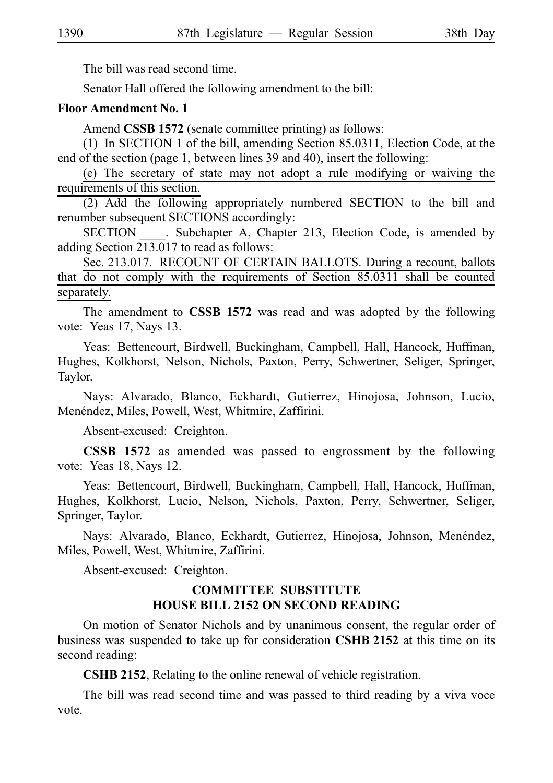The bill was read second time.

Senator Hall offered the following amendment to the bill:

#### **Floor Amendment No. 1**

Amend **CSSB 1572** (senate committee printing) as follows:

 $(1)$  In SECTION 1 of the bill, amending Section 85.0311, Election Code, at the end of the section (page 1, between lines 39 and 40), insert the following:

(e) The secretary of state may not adopt a rule modifying or waiving the requirements of this section.

(2) Add the following appropriately numbered SECTION to the bill and renumber subsequent SECTIONS accordingly:

SECTION Subchapter A, Chapter 213, Election Code, is amended by adding Section 213.017 to read as follows:

Sec. 213.017. RECOUNT OF CERTAIN BALLOTS. During a recount, ballots that do not comply with the requirements of Section 85.0311 shall be counted separately.

The amendment to **CSSB 1572** was read and was adopted by the following vote: Yeas 17, Nays 13.

Yeas: Bettencourt, Birdwell, Buckingham, Campbell, Hall, Hancock, Huffman, Hughes, Kolkhorst, Nelson, Nichols, Paxton, Perry, Schwertner, Seliger, Springer, Taylor.

Nays: Alvarado, Blanco, Eckhardt, Gutierrez, Hinojosa, Johnson, Lucio, Menéndez, Miles, Powell, West, Whitmire, Zaffirini.

Absent-excused: Creighton.

**CSSB 1572** as amended was passed to engrossment by the following vote: Yeas 18, Nays 12.

Yeas: Bettencourt, Birdwell, Buckingham, Campbell, Hall, Hancock, Huffman, Hughes, Kolkhorst, Lucio, Nelson, Nichols, Paxton, Perry, Schwertner, Seliger, Springer, Taylor.

Nays: Alvarado, Blanco, Eckhardt, Gutierrez, Hinojosa, Johnson, Menéndez, Miles, Powell, West, Whitmire, Zaffirini.

Absent-excused: Creighton.

### **COMMITTEE SUBSTITUTE HOUSE BILL 2152 ON SECOND READING**

On motion of Senator Nichols and by unanimous consent, the regular order of business was suspended to take up for consideration CSHB 2152 at this time on its second reading:

**CSHB 2152**, Relating to the online renewal of vehicle registration.

The bill was read second time and was passed to third reading by a viva voce vote.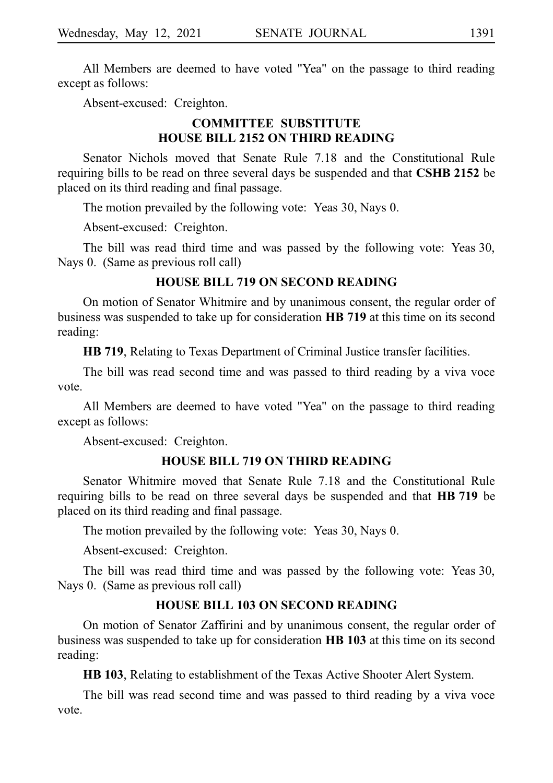All Members are deemed to have voted "Yea" on the passage to third reading except as follows:

Absent-excused: Creighton.

#### **COMMITTEE SUBSTITUTE HOUSE BILL 2152 ON THIRD READING**

Senator Nichols moved that Senate Rule 7.18 and the Constitutional Rule requiring bills to be read on three several days be suspended and that CSHB 2152 be placed on its third reading and final passage.

The motion prevailed by the following vote: Yeas 30, Nays 0.

Absent-excused: Creighton.

The bill was read third time and was passed by the following vote: Yeas 30, Nays 0. (Same as previous roll call)

#### **HOUSE BILL 719 ON SECOND READING**

On motion of Senator Whitmire and by unanimous consent, the regular order of business was suspended to take up for consideration **HB** 719 at this time on its second reading:

**HB 719**, Relating to Texas Department of Criminal Justice transfer facilities.

The bill was read second time and was passed to third reading by a viva voce vote.

All Members are deemed to have voted "Yea" on the passage to third reading except as follows:

Absent-excused: Creighton.

#### **HOUSE BILL 719 ON THIRD READING**

Senator Whitmire moved that Senate Rule 7.18 and the Constitutional Rule requiring bills to be read on three several days be suspended and that **HB** 719 be placed on its third reading and final passage.

The motion prevailed by the following vote: Yeas 30, Nays 0.

Absent-excused: Creighton.

The bill was read third time and was passed by the following vote: Yeas 30, Nays 0. (Same as previous roll call)

#### **HOUSE BILL 103 ON SECOND READING**

On motion of Senator Zaffirini and by unanimous consent, the regular order of business was suspended to take up for consideration **HBi103** at this time on its second reading:

**HB 103**, Relating to establishment of the Texas Active Shooter Alert System.

The bill was read second time and was passed to third reading by a viva voce vote.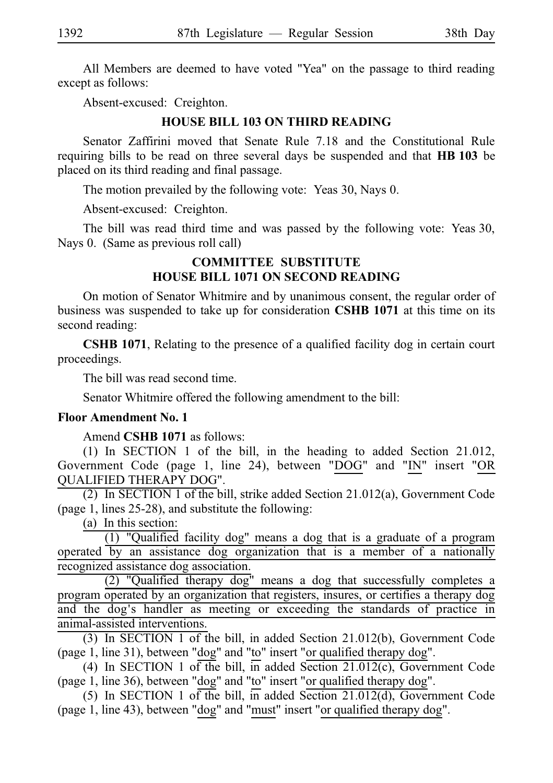All Members are deemed to have voted "Yea" on the passage to third reading except as follows:

Absent-excused: Creighton.

#### **HOUSE BILL 103 ON THIRD READING**

Senator Zaffirini moved that Senate Rule 7.18 and the Constitutional Rule requiring bills to be read on three several days be suspended and that **HBi103** be placed on its third reading and final passage.

The motion prevailed by the following vote: Yeas 30, Nays 0.

Absent-excused: Creighton.

The bill was read third time and was passed by the following vote: Yeas 30, Nays 0. (Same as previous roll call)

#### **COMMITTEE SUBSTITUTE HOUSE BILL 1071 ON SECOND READING**

On motion of Senator Whitmire and by unanimous consent, the regular order of business was suspended to take up for consideration **CSHB 1071** at this time on its second reading:

**CSHB 1071**, Relating to the presence of a qualified facility dog in certain court proceedings.

The bill was read second time.

Senator Whitmire offered the following amendment to the bill:

#### **Floor Amendment No. 1**

Amend **CSHB** 1071 as follows:

(1) In SECTION 1 of the bill, in the heading to added Section 21.012, Government Code (page 1, line 24), between "DOG" and "IN" insert "OR QUALIFIED THERAPY DOG".

(2) In SECTION 1 of the bill, strike added Section 21.012(a), Government Code (page 1, lines 25-28), and substitute the following:

 $(a)$  In this section:

 $(1)$  "Qualified facility dog" means a dog that is a graduate of a program operated by an assistance dog organization that is a member of a nationally recognized assistance dog association.

 $(2)$  "Qualified therapy dog" means a dog that successfully completes a program operated by an organization that registers, insures, or certifies a therapy dog and the dog's handler as meeting or exceeding the standards of practice in animal-assisted interventions.

(3) In SECTION 1 of the bill, in added Section 21.012(b), Government Code (page 1, line 31), between "dog" and "to" insert "or qualified therapy dog".

(4) In SECTION 1 of the bill, in added Section  $21.012(c)$ , Government Code (page 1, line 36), between "dog" and "to" insert "or qualified therapy dog".

(5) In SECTION 1 of the bill, in added Section  $21.012(d)$ , Government Code (page 1, line 43), between "dog" and "must" insert "or qualified therapy dog".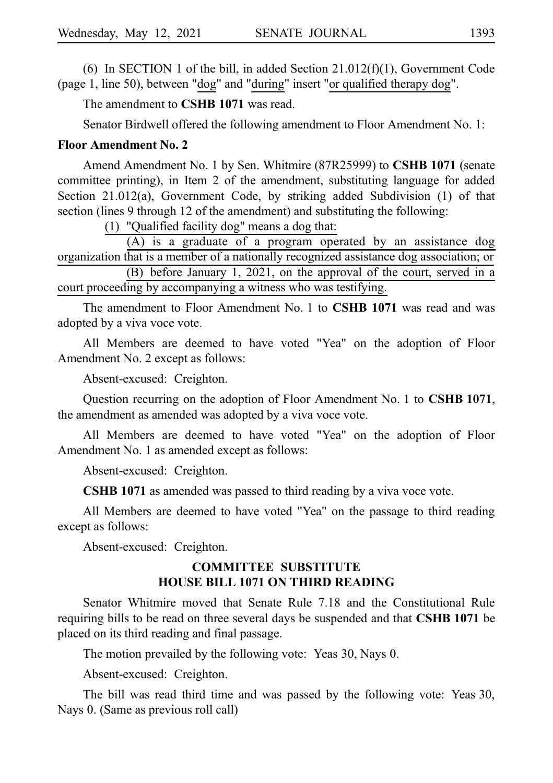(6) In SECTION 1 of the bill, in added Section  $21.012(f)(1)$ , Government Code (page 1, line 50), between "dog" and "during" insert "or qualified therapy dog".

The amendment to **CSHB 1071** was read.

Senator Birdwell offered the following amendment to Floor Amendment No. 1:

#### **Floor Amendment No. 2**

Amend Amendment No. 1 by Sen. Whitmire (87R25999) to CSHB 1071 (senate committee printing), in Item 2 of the amendment, substituting language for added Section 21.012(a), Government Code, by striking added Subdivision (1) of that section (lines 9 through 12 of the amendment) and substituting the following:

(1) "Qualified facility dog" means a dog that:

 $(A)$  is a graduate of a program operated by an assistance dog organization that is a member of a nationally recognized assistance dog association; or (B) before January 1, 2021, on the approval of the court, served in a court proceeding by accompanying a witness who was testifying.

The amendment to Floor Amendment No. 1 to **CSHB 1071** was read and was adopted by a viva voce vote.

All Members are deemed to have voted "Yea" on the adoption of Floor Amendment No. 2 except as follows:

Absent-excused: Creighton.

Question recurring on the adoption of Floor Amendment No. 1 to **CSHB 1071**, the amendment as amended was adopted by a viva voce vote.

All Members are deemed to have voted "Yea" on the adoption of Floor Amendment No. 1 as amended except as follows:

Absent-excused: Creighton.

**CSHB 1071** as amended was passed to third reading by a viva voce vote.

All Members are deemed to have voted "Yea" on the passage to third reading except as follows:

Absent-excused: Creighton.

#### **COMMITTEE SUBSTITUTE HOUSE BILL 1071 ON THIRD READING**

Senator Whitmire moved that Senate Rule 7.18 and the Constitutional Rule requiring bills to be read on three several days be suspended and that **CSHBi1071** be placed on its third reading and final passage.

The motion prevailed by the following vote: Yeas 30, Nays 0.

Absent-excused: Creighton.

The bill was read third time and was passed by the following vote: Yeas 30, Nays 0. (Same as previous roll call)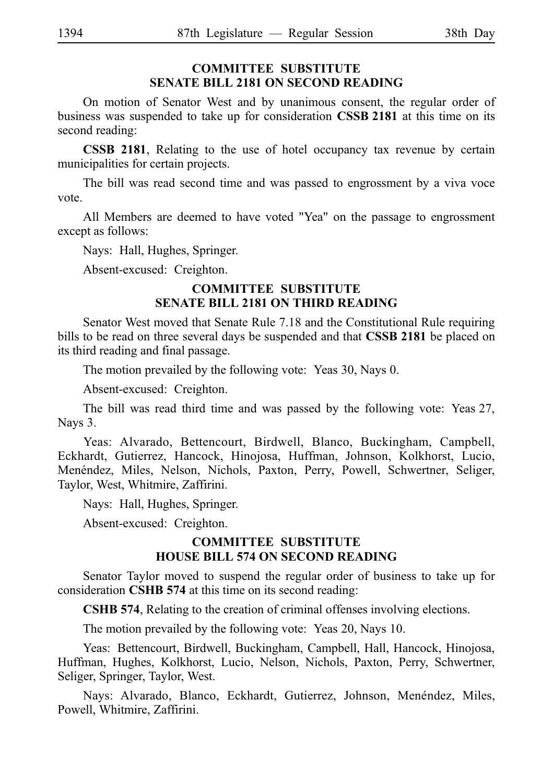# **COMMITTEE SUBSTITUTE SENATE BILL 2181 ON SECOND READING**

On motion of Senator West and by unanimous consent, the regular order of business was suspended to take up for consideration **CSSB 2181** at this time on its second reading:

**CSSB 2181**, Relating to the use of hotel occupancy tax revenue by certain municipalities for certain projects.

The bill was read second time and was passed to engrossment by a viva voce vote.

All Members are deemed to have voted "Yea" on the passage to engrossment except as follows:

Nays: Hall, Hughes, Springer.

Absent-excused: Creighton.

#### **COMMITTEE SUBSTITUTE SENATE BILL 2181 ON THIRD READING**

Senator West moved that Senate Rule 7.18 and the Constitutional Rule requiring bills to be read on three several days be suspended and that **CSSB 2181** be placed on its third reading and final passage.

The motion prevailed by the following vote: Yeas 30, Nays 0.

Absent-excused: Creighton.

The bill was read third time and was passed by the following vote: Yeas 27, Nays 3.

Yeas: Alvarado, Bettencourt, Birdwell, Blanco, Buckingham, Campbell, Eckhardt, Gutierrez, Hancock, Hinojosa, Huffman, Johnson, Kolkhorst, Lucio, Menéndez, Miles, Nelson, Nichols, Paxton, Perry, Powell, Schwertner, Seliger, Taylor, West, Whitmire, Zaffirini.

Nays: Hall, Hughes, Springer.

Absent-excused: Creighton.

#### **COMMITTEE SUBSTITUTE HOUSE BILL 574 ON SECOND READING**

Senator Taylor moved to suspend the regular order of business to take up for consideration **CSHB 574** at this time on its second reading:

**CSHB 574**, Relating to the creation of criminal offenses involving elections.

The motion prevailed by the following vote: Yeas 20, Nays 10.

Yeas: Bettencourt, Birdwell, Buckingham, Campbell, Hall, Hancock, Hinojosa, Huffman, Hughes, Kolkhorst, Lucio, Nelson, Nichols, Paxton, Perry, Schwertner, Seliger, Springer, Taylor, West.

Nays: Alvarado, Blanco, Eckhardt, Gutierrez, Johnson, Menéndez, Miles, Powell, Whitmire, Zaffirini.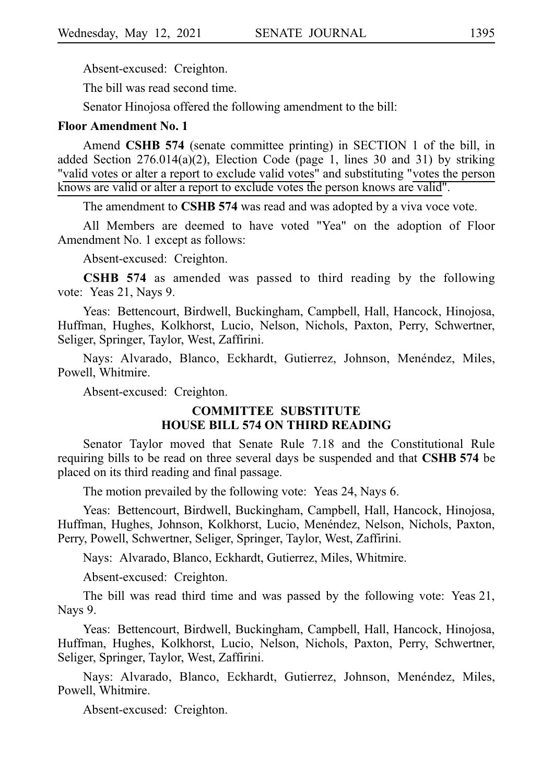Absent-excused: Creighton.

The bill was read second time.

Senator Hinojosa offered the following amendment to the bill:

#### **Floor Amendment No. 1**

Amend **CSHB 574** (senate committee printing) in SECTION 1 of the bill, in added Section 276.014(a)(2), Election Code (page 1, lines 30 and 31) by striking "valid votes or alter a report to exclude valid votes" and substituting "votes the person knows are valid or alter a report to exclude votes the person knows are valid".

The amendment to **CSHB 574** was read and was adopted by a viva voce vote.

All Members are deemed to have voted "Yea" on the adoption of Floor Amendment No. 1 except as follows:

Absent-excused: Creighton.

**CSHB 574** as amended was passed to third reading by the following vote: Yeas 21, Nays 9.

Yeas: Bettencourt, Birdwell, Buckingham, Campbell, Hall, Hancock, Hinojosa, Huffman, Hughes, Kolkhorst, Lucio, Nelson, Nichols, Paxton, Perry, Schwertner, Seliger, Springer, Taylor, West, Zaffirini.

Nays: Alvarado, Blanco, Eckhardt, Gutierrez, Johnson, Menéndez, Miles, Powell, Whitmire.

Absent-excused: Creighton.

#### **COMMITTEE SUBSTITUTE HOUSE BILL 574 ON THIRD READING**

Senator Taylor moved that Senate Rule 7.18 and the Constitutional Rule requiring bills to be read on three several days be suspended and that **CSHB 574** be placed on its third reading and final passage.

The motion prevailed by the following vote: Yeas 24, Nays 6.

Yeas: Bettencourt, Birdwell, Buckingham, Campbell, Hall, Hancock, Hinojosa, Huffman, Hughes, Johnson, Kolkhorst, Lucio, Menéndez, Nelson, Nichols, Paxton, Perry, Powell, Schwertner, Seliger, Springer, Taylor, West, Zaffirini.

Nays: Alvarado, Blanco, Eckhardt, Gutierrez, Miles, Whitmire.

Absent-excused: Creighton.

The bill was read third time and was passed by the following vote: Yeas  $21$ , Nays 9.

Yeas: Bettencourt, Birdwell, Buckingham, Campbell, Hall, Hancock, Hinojosa, Huffman, Hughes, Kolkhorst, Lucio, Nelson, Nichols, Paxton, Perry, Schwertner, Seliger, Springer, Taylor, West, Zaffirini.

Nays: Alvarado, Blanco, Eckhardt, Gutierrez, Johnson, Menéndez, Miles, Powell, Whitmire.

Absent-excused: Creighton.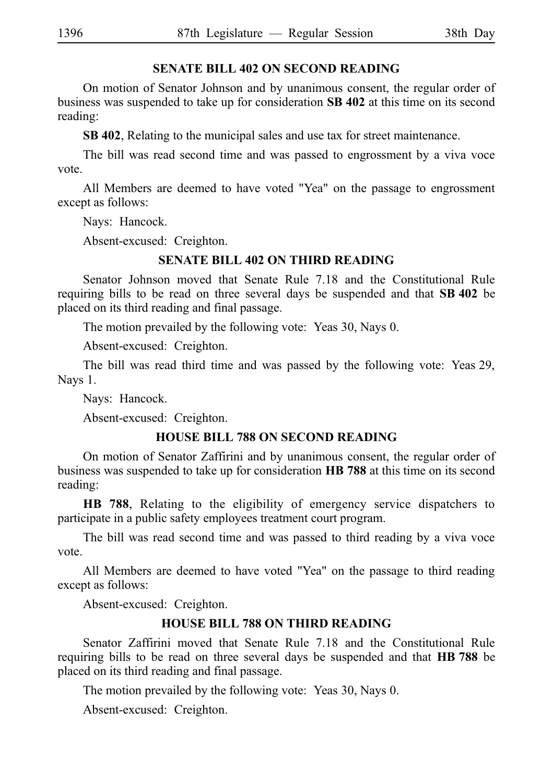#### **SENATE BILL 402 ON SECOND READING**

On motion of Senator Johnson and by unanimous consent, the regular order of business was suspended to take up for consideration **SB 402** at this time on its second reading:

**SB 402**, Relating to the municipal sales and use tax for street maintenance.

The bill was read second time and was passed to engrossment by a viva voce vote.

All Members are deemed to have voted "Yea" on the passage to engrossment except as follows:

Nays: Hancock.

Absent-excused: Creighton.

#### **SENATE BILL 402 ON THIRD READING**

Senator Johnson moved that Senate Rule 7.18 and the Constitutional Rule requiring bills to be read on three several days be suspended and that SB 402 be placed on its third reading and final passage.

The motion prevailed by the following vote: Yeas 30, Nays 0.

Absent-excused: Creighton.

The bill was read third time and was passed by the following vote: Yeas 29, Nays 1.

Nays: Hancock.

Absent-excused: Creighton.

#### **HOUSE BILL 788 ON SECOND READING**

On motion of Senator Zaffirini and by unanimous consent, the regular order of business was suspended to take up for consideration HB 788 at this time on its second reading:

**HB 788**, Relating to the eligibility of emergency service dispatchers to participate in a public safety employees treatment court program.

The bill was read second time and was passed to third reading by a viva voce vote.

All Members are deemed to have voted "Yea" on the passage to third reading except as follows:

Absent-excused: Creighton.

#### **HOUSE BILL 788 ON THIRD READING**

Senator Zaffirini moved that Senate Rule 7.18 and the Constitutional Rule requiring bills to be read on three several days be suspended and that **HB** 788 be placed on its third reading and final passage.

The motion prevailed by the following vote: Yeas 30, Nays 0.

Absent-excused: Creighton.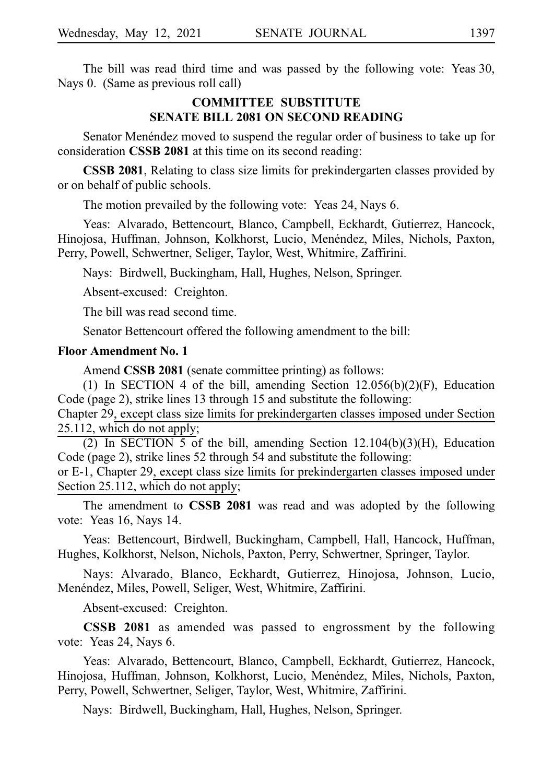The bill was read third time and was passed by the following vote: Yeas 30, Nays 0. (Same as previous roll call)

#### **COMMITTEE SUBSTITUTE SENATE BILL 2081 ON SECOND READING**

Senator Menéndez moved to suspend the regular order of business to take up for consideration **CSSB 2081** at this time on its second reading:

**CSSB 2081**, Relating to class size limits for prekindergarten classes provided by or on behalf of public schools.

The motion prevailed by the following vote: Yeas 24, Nays 6.

Yeas: Alvarado, Bettencourt, Blanco, Campbell, Eckhardt, Gutierrez, Hancock, Hinojosa, Huffman, Johnson, Kolkhorst, Lucio, Menéndez, Miles, Nichols, Paxton, Perry, Powell, Schwertner, Seliger, Taylor, West, Whitmire, Zaffirini.

Nays: Birdwell, Buckingham, Hall, Hughes, Nelson, Springer.

Absent-excused: Creighton.

The bill was read second time.

Senator Bettencourt offered the following amendment to the bill:

#### **Floor Amendment No. 1**

Amend **CSSB 2081** (senate committee printing) as follows:

(1) In SECTION 4 of the bill, amending Section  $12.056(b)(2)(F)$ , Education Code (page 2), strike lines 13 through 15 and substitute the following:

Chapter 29, except class size limits for prekindergarten classes imposed under Section 25.112, which do not apply;

(2) In SECTION 5 of the bill, amending Section 12.104(b)(3)(H), Education Code (page 2), strike lines 52 through 54 and substitute the following:

or E-1, Chapter 29, except class size limits for prekindergarten classes imposed under Section 25.112, which do not apply;

The amendment to **CSSB 2081** was read and was adopted by the following vote: Yeas 16, Nays 14.

Yeas: Bettencourt, Birdwell, Buckingham, Campbell, Hall, Hancock, Huffman, Hughes, Kolkhorst, Nelson, Nichols, Paxton, Perry, Schwertner, Springer, Taylor.

Nays: Alvarado, Blanco, Eckhardt, Gutierrez, Hinojosa, Johnson, Lucio, Menéndez, Miles, Powell, Seliger, West, Whitmire, Zaffirini.

Absent-excused: Creighton.

**CSSB 2081** as amended was passed to engrossment by the following vote: Yeas 24, Nays 6.

Yeas: Alvarado, Bettencourt, Blanco, Campbell, Eckhardt, Gutierrez, Hancock, Hinojosa, Huffman, Johnson, Kolkhorst, Lucio, Menéndez, Miles, Nichols, Paxton, Perry, Powell, Schwertner, Seliger, Taylor, West, Whitmire, Zaffirini.

Nays: Birdwell, Buckingham, Hall, Hughes, Nelson, Springer.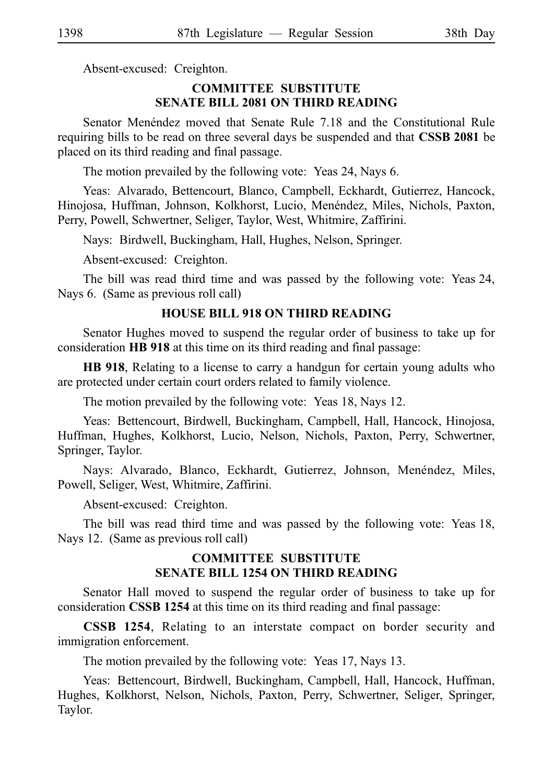Absent-excused: Creighton.

#### **COMMITTEE SUBSTITUTE SENATE BILL 2081 ON THIRD READING**

Senator Menéndez moved that Senate Rule 7.18 and the Constitutional Rule requiring bills to be read on three several days be suspended and that **CSSB 2081** be placed on its third reading and final passage.

The motion prevailed by the following vote: Yeas 24, Nays 6.

Yeas: Alvarado, Bettencourt, Blanco, Campbell, Eckhardt, Gutierrez, Hancock, Hinojosa, Huffman, Johnson, Kolkhorst, Lucio, Menéndez, Miles, Nichols, Paxton, Perry, Powell, Schwertner, Seliger, Taylor, West, Whitmire, Zaffirini.

Nays: Birdwell, Buckingham, Hall, Hughes, Nelson, Springer.

Absent-excused: Creighton.

The bill was read third time and was passed by the following vote: Yeas 24, Nays 6. (Same as previous roll call)

#### **HOUSE BILL 918 ON THIRD READING**

Senator Hughes moved to suspend the regular order of business to take up for consideration **HB 918** at this time on its third reading and final passage:

**HB 918**, Relating to a license to carry a handgun for certain young adults who are protected under certain court orders related to family violence.

The motion prevailed by the following vote: Yeas 18, Nays 12.

Yeas: Bettencourt, Birdwell, Buckingham, Campbell, Hall, Hancock, Hinojosa, Huffman, Hughes, Kolkhorst, Lucio, Nelson, Nichols, Paxton, Perry, Schwertner, Springer, Taylor.

Nays: Alvarado, Blanco, Eckhardt, Gutierrez, Johnson, Menéndez, Miles, Powell, Seliger, West, Whitmire, Zaffirini.

Absent-excused: Creighton.

The bill was read third time and was passed by the following vote: Yeas 18, Nays 12. (Same as previous roll call)

### **COMMITTEE SUBSTITUTE SENATE BILL 1254 ON THIRD READING**

Senator Hall moved to suspend the regular order of business to take up for consideration **CSSB 1254** at this time on its third reading and final passage:

**CSSB 1254**, Relating to an interstate compact on border security and immigration enforcement.

The motion prevailed by the following vote: Yeas 17, Nays 13.

Yeas: Bettencourt, Birdwell, Buckingham, Campbell, Hall, Hancock, Huffman, Hughes, Kolkhorst, Nelson, Nichols, Paxton, Perry, Schwertner, Seliger, Springer, Taylor.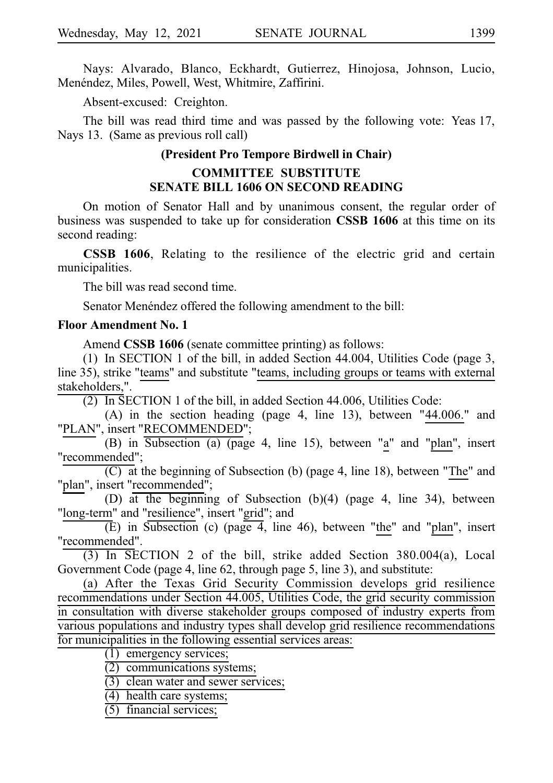Nays: Alvarado, Blanco, Eckhardt, Gutierrez, Hinojosa, Johnson, Lucio, Menéndez, Miles, Powell, West, Whitmire, Zaffirini.

Absent-excused: Creighton.

The bill was read third time and was passed by the following vote: Yeas 17, Nays 13. (Same as previous roll call)

#### **(President Pro Tempore Birdwell in Chair)**

#### **COMMITTEE SUBSTITUTE SENATE BILL 1606 ON SECOND READING**

On motion of Senator Hall and by unanimous consent, the regular order of business was suspended to take up for consideration **CSSB 1606** at this time on its second reading:

**CSSB 1606**, Relating to the resilience of the electric grid and certain municipalities.

The bill was read second time.

Senator Menéndez offered the following amendment to the bill:

#### **Floor Amendment No. 1**

Amend **CSSB 1606** (senate committee printing) as follows:

(1) In SECTION 1 of the bill, in added Section  $44.004$ , Utilities Code (page 3, line 35), strike "teams" and substitute "teams, including groups or teams with external stakeholders,".

 $(2)$  In SECTION 1 of the bill, in added Section 44.006, Utilities Code:

(A) in the section heading (page 4, line 13), between  $"44.006."$  and "PLAN", insert "RECOMMENDED";

(B) in Subsection (a) (page 4, line 15), between "a" and "plan", insert "recommended";

 $(C)$  at the beginning of Subsection (b) (page 4, line 18), between "The" and "plan", insert "recommended";

(D) at the beginning of Subsection (b)(4) (page 4, line 34), between "long-term" and "resilience", insert "grid"; and

 $(E)$  in Subsection (c) (page 4, line 46), between "the" and "plan", insert "recommended".

 $(3)$  In SECTION 2 of the bill, strike added Section 380.004(a), Local Government Code (page 4, line 62, through page 5, line 3), and substitute:

(a) After the Texas Grid Security Commission develops grid resilience recommendations under Section 44.005, Utilities Code, the grid security commission in consultation with diverse stakeholder groups composed of industry experts from various populations and industry types shall develop grid resilience recommendations for municipalities in the following essential services areas:

 $(1)$  emergency services;

 $(2)$  communications systems;

 $(3)$  clean water and sewer services;

 $(4)$  health care systems;

 $(5)$  financial services;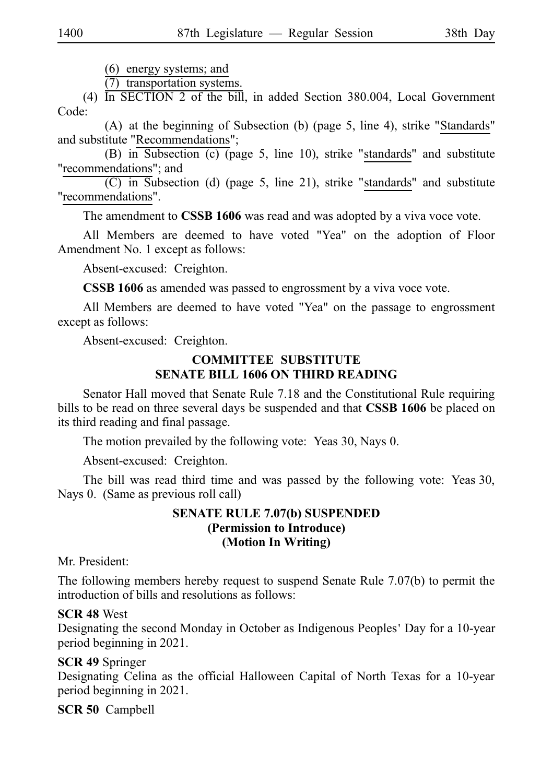$(6)$  energy systems; and

(7) transportation systems.

(4)  $\overline{In SECTION 2}$  of the bill, in added Section 380.004, Local Government Code:

(A) at the beginning of Subsection (b) (page 5, line 4), strike "Standards" and substitute "Recommendations";

(B) in Subsection (c) (page 5, line 10), strike "standards" and substitute "recommendations"; and

 $(C)$  in Subsection (d) (page 5, line 21), strike "standards" and substitute "recommendations".

The amendment to **CSSB 1606** was read and was adopted by a viva voce vote.

All Members are deemed to have voted "Yea" on the adoption of Floor Amendment No. 1 except as follows:

Absent-excused: Creighton.

**CSSB 1606** as amended was passed to engrossment by a viva voce vote.

All Members are deemed to have voted "Yea" on the passage to engrossment except as follows:

Absent-excused: Creighton.

#### **COMMITTEE SUBSTITUTE SENATE BILL 1606 ON THIRD READING**

Senator Hall moved that Senate Rule 7.18 and the Constitutional Rule requiring bills to be read on three several days be suspended and that **CSSB 1606** be placed on its third reading and final passage.

The motion prevailed by the following vote: Yeas 30, Nays 0.

Absent-excused: Creighton.

The bill was read third time and was passed by the following vote: Yeas 30, Nays 0. (Same as previous roll call)

#### **SENATE RULE 7.07(b) SUSPENDED (Permission to Introduce) (Motion In Writing)**

Mr. President:

The following members hereby request to suspend Senate Rule 7.07(b) to permit the introduction of bills and resolutions as follows:

#### **SCR 48 West**

Designating the second Monday in October as Indigenous Peoples' Day for a 10-year period beginning in 2021.

#### **SCR 49** Springer

Designating Celina as the official Halloween Capital of North Texas for a 10-year period beginning in 2021.

#### **SCR 50** Campbell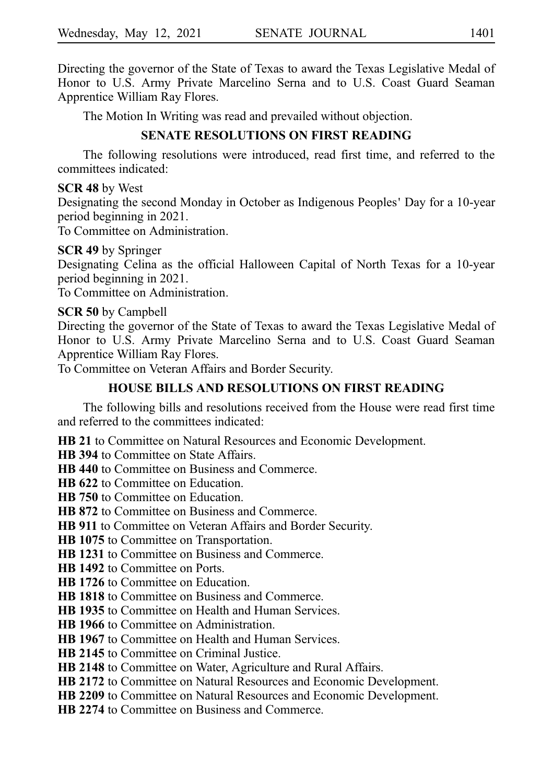Directing the governor of the State of Texas to award the Texas Legislative Medal of Honor to U.S. Army Private Marcelino Serna and to U.S. Coast Guard Seaman Apprentice William Ray Flores.

The Motion In Writing was read and prevailed without objection.

# **SENATE RESOLUTIONS ON FIRST READING**

The following resolutions were introduced, read first time, and referred to the committees indicated:

#### **SCR 48** by West

Designating the second Monday in October as Indigenous Peoples' Day for a 10-year period beginning in 2021.

To Committee on Administration.

#### **SCR 49** by Springer

Designating Celina as the official Halloween Capital of North Texas for a 10-year period beginning in 2021.

To Committee on Administration.

#### **SCR 50** by Campbell

Directing the governor of the State of Texas to award the Texas Legislative Medal of Honor to U.S. Army Private Marcelino Serna and to U.S. Coast Guard Seaman Apprentice William Ray Flores.

To Committee on Veteran Affairs and Border Security.

# **HOUSE BILLS AND RESOLUTIONS ON FIRST READING**

The following bills and resolutions received from the House were read first time and referred to the committees indicated:

**HB 21** to Committee on Natural Resources and Economic Development.

**HB 394** to Committee on State Affairs.

**HB 440** to Committee on Business and Commerce.

**HB 622** to Committee on Education.

**HB 750** to Committee on Education.

**HB 872** to Committee on Business and Commerce.

**HB 911** to Committee on Veteran Affairs and Border Security.

**HB 1075** to Committee on Transportation.

**HB 1231** to Committee on Business and Commerce.

**HB 1492** to Committee on Ports.

**HB 1726** to Committee on Education.

**HB 1818** to Committee on Business and Commerce.

**HB 1935** to Committee on Health and Human Services.

**HB 1966** to Committee on Administration.

**HB 1967** to Committee on Health and Human Services.

**HB 2145** to Committee on Criminal Justice.

**HB 2148** to Committee on Water, Agriculture and Rural Affairs.

**HB 2172** to Committee on Natural Resources and Economic Development.

**HB 2209** to Committee on Natural Resources and Economic Development.

**HB 2274** to Committee on Business and Commerce.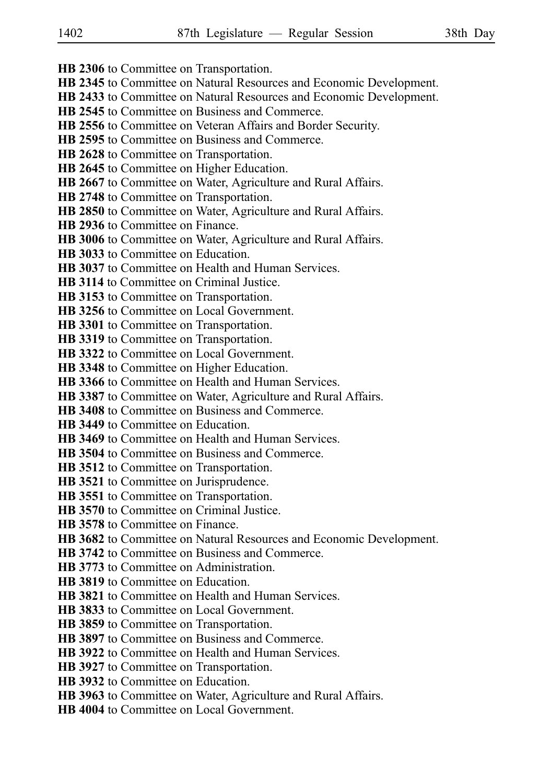- **HB 2306** to Committee on Transportation.
- **HB 2345** to Committee on Natural Resources and Economic Development.
- **HB 2433** to Committee on Natural Resources and Economic Development.
- **HB 2545** to Committee on Business and Commerce.
- **HB 2556** to Committee on Veteran Affairs and Border Security.
- **HB 2595** to Committee on Business and Commerce.
- **HB 2628** to Committee on Transportation.
- **HB 2645** to Committee on Higher Education.
- **HB 2667** to Committee on Water, Agriculture and Rural Affairs.
- **HB 2748** to Committee on Transportation.
- **HB 2850** to Committee on Water, Agriculture and Rural Affairs.
- **HB 2936** to Committee on Finance.
- **HB 3006** to Committee on Water, Agriculture and Rural Affairs.
- **HB 3033** to Committee on Education.
- **HB 3037** to Committee on Health and Human Services.
- **HB 3114** to Committee on Criminal Justice.
- **HB 3153** to Committee on Transportation.
- **HB 3256** to Committee on Local Government.
- **HB 3301** to Committee on Transportation.
- **HB 3319** to Committee on Transportation.
- **HB 3322** to Committee on Local Government.
- **HB 3348** to Committee on Higher Education.
- **HB 3366** to Committee on Health and Human Services.
- **HB 3387** to Committee on Water, Agriculture and Rural Affairs.
- **HB 3408** to Committee on Business and Commerce.
- **HB 3449** to Committee on Education.
- **HB 3469** to Committee on Health and Human Services.
- **HB 3504** to Committee on Business and Commerce.
- **HB 3512** to Committee on Transportation.
- **HB 3521** to Committee on Jurisprudence.
- **HB 3551** to Committee on Transportation.
- **HB 3570** to Committee on Criminal Justice.
- **HB 3578** to Committee on Finance.
- **HB 3682** to Committee on Natural Resources and Economic Development.
- **HB 3742** to Committee on Business and Commerce.
- **HB 3773** to Committee on Administration.
- **HB 3819** to Committee on Education.
- **HB 3821** to Committee on Health and Human Services.
- **HB 3833** to Committee on Local Government.
- **HB 3859** to Committee on Transportation.
- **HB 3897** to Committee on Business and Commerce.
- **HB 3922** to Committee on Health and Human Services.
- **HB 3927** to Committee on Transportation.
- **HB 3932** to Committee on Education.
- **HB 3963** to Committee on Water, Agriculture and Rural Affairs.
- **HB 4004** to Committee on Local Government.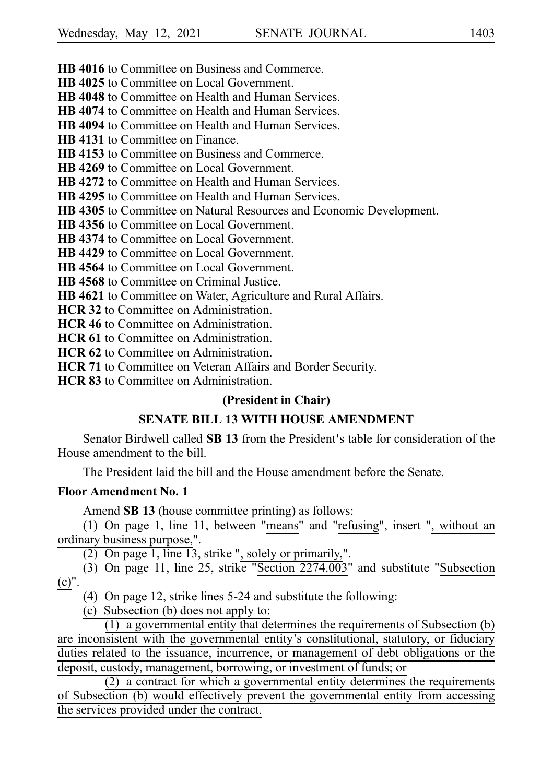**HB 4016** to Committee on Business and Commerce.

**HB 4025** to Committee on Local Government.

**HB 4048** to Committee on Health and Human Services.

**HB 4074** to Committee on Health and Human Services.

**HB 4094** to Committee on Health and Human Services.

**HB 4131** to Committee on Finance.

**HB 4153** to Committee on Business and Commerce.

**HB 4269** to Committee on Local Government.

**HB 4272** to Committee on Health and Human Services.

**HB 4295** to Committee on Health and Human Services.

**HB 4305** to Committee on Natural Resources and Economic Development.

**HB 4356** to Committee on Local Government.

**HB 4374** to Committee on Local Government.

**HB 4429** to Committee on Local Government.

**HB 4564** to Committee on Local Government.

**HB 4568** to Committee on Criminal Justice.

**HB 4621** to Committee on Water, Agriculture and Rural Affairs.

**HCR 32** to Committee on Administration.

**HCR 46** to Committee on Administration.

**HCR 61** to Committee on Administration.

**HCR 62** to Committee on Administration.

**HCR 71** to Committee on Veteran Affairs and Border Security.

**HCR 83** to Committee on Administration.

#### **(President in Chair)**

### **SENATE BILL 13 WITH HOUSE AMENDMENT**

Senator Birdwell called **SB 13** from the President's table for consideration of the House amendment to the bill.

The President laid the bill and the House amendment before the Senate.

#### **Floor Amendment No. 1**

Amend **SB 13** (house committee printing) as follows:

(1) On page 1, line 11, between "means" and "refusing", insert ", without an ordinary business purpose,".

 $(2)$  On page 1, line 13, strike ", solely or primarily,".

(3) On page 11, line 25, strike "Section  $2274.003$ " and substitute "Subsection (c)".

(4) On page 12, strike lines  $5-24$  and substitute the following:

(c) Subsection (b) does not apply to:

 $(1)$  a governmental entity that determines the requirements of Subsection  $(b)$ are inconsistent with the governmental entity's constitutional, statutory, or fiduciary duties related to the issuance, incurrence, or management of debt obligations or the deposit, custody, management, borrowing, or investment of funds; or

 $(2)$  a contract for which a governmental entity determines the requirements of Subsection (b) would effectively prevent the governmental entity from accessing the services provided under the contract.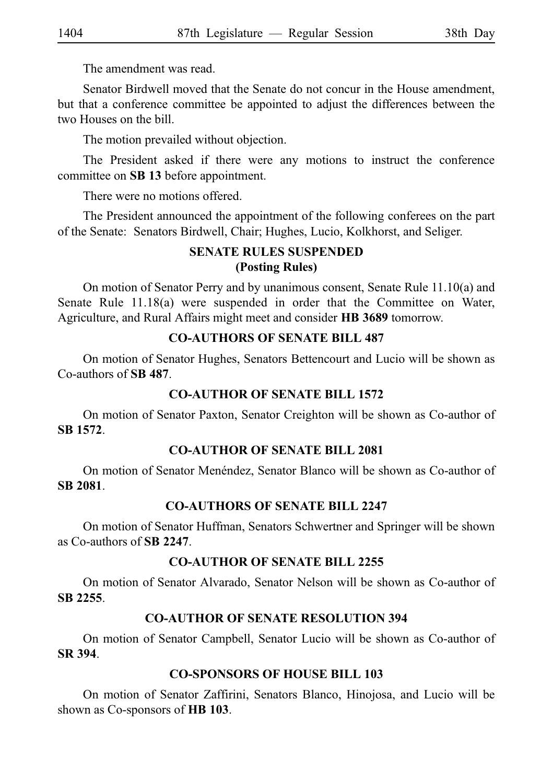The amendment was read.

Senator Birdwell moved that the Senate do not concur in the House amendment, but that a conference committee be appointed to adjust the differences between the two Houses on the bill.

The motion prevailed without objection.

The President asked if there were any motions to instruct the conference committee on **SBi13** before appointment.

There were no motions offered.

The President announced the appointment of the following conferees on the part of the Senate: Senators Birdwell, Chair; Hughes, Lucio, Kolkhorst, and Seliger.

### **SENATE RULES SUSPENDED (Posting Rules)**

On motion of Senator Perry and by unanimous consent, Senate Rule 11.10(a) and Senate Rule 11.18(a) were suspended in order that the Committee on Water, Agriculture, and Rural Affairs might meet and consider HB 3689 tomorrow.

### **CO-AUTHORS OF SENATE BILL 487**

On motion of Senator Hughes, Senators Bettencourt and Lucio will be shown as Co-authors of **SBi487**.

# **CO-AUTHOR OF SENATE BILL 1572**

On motion of Senator Paxton, Senator Creighton will be shown as Co-author of **SBi1572**.

### **CO-AUTHOR OF SENATE BILL 2081**

On motion of Senator Menéndez, Senator Blanco will be shown as Co-author of **SBi2081**.

### **CO-AUTHORS OF SENATE BILL 2247**

On motion of Senator Huffman, Senators Schwertner and Springer will be shown as Co-authors of **SBi2247**.

### **CO-AUTHOR OF SENATE BILL 2255**

On motion of Senator Alvarado, Senator Nelson will be shown as Co-author of **SBi2255**.

### **CO-AUTHOR OF SENATE RESOLUTION 394**

On motion of Senator Campbell, Senator Lucio will be shown as Co-author of **SRi394**.

# **CO-SPONSORS OF HOUSE BILL 103**

On motion of Senator Zaffirini, Senators Blanco, Hinojosa, and Lucio will be shown as Co-sponsors of **HB** 103.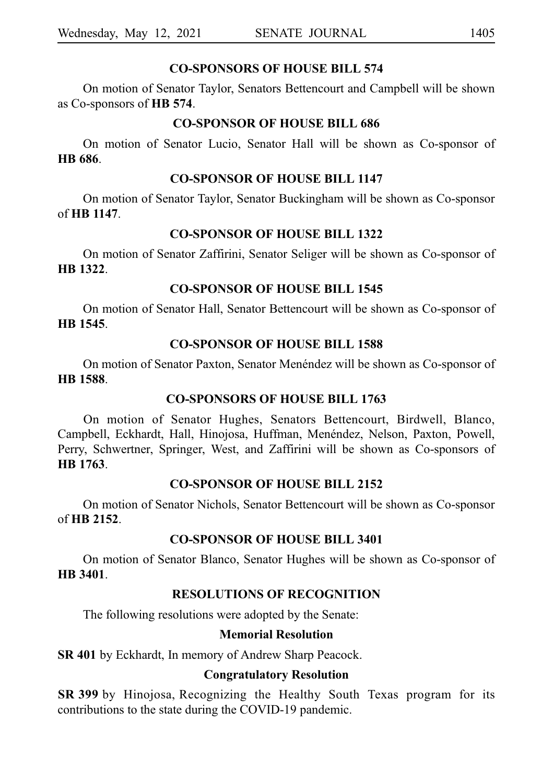#### **CO-SPONSORS OF HOUSE BILL 574**

On motion of Senator Taylor, Senators Bettencourt and Campbell will be shown as Co-sponsors of **HB** 574.

#### **CO-SPONSOR OF HOUSE BILL 686**

On motion of Senator Lucio, Senator Hall will be shown as Co-sponsor of **HB** 686.

#### **CO-SPONSOR OF HOUSE BILL 1147**

On motion of Senator Taylor, Senator Buckingham will be shown as Co-sponsor of **HBi1147**.

#### **CO-SPONSOR OF HOUSE BILL 1322**

On motion of Senator Zaffirini, Senator Seliger will be shown as Co-sponsor of **HBi1322**.

### **CO-SPONSOR OF HOUSE BILL 1545**

On motion of Senator Hall, Senator Bettencourt will be shown as Co-sponsor of **HBi1545**.

#### **CO-SPONSOR OF HOUSE BILL 1588**

On motion of Senator Paxton, Senator Menéndez will be shown as Co-sponsor of **HBi1588**.

#### **CO-SPONSORS OF HOUSE BILL 1763**

On motion of Senator Hughes, Senators Bettencourt, Birdwell, Blanco, Campbell, Eckhardt, Hall, Hinojosa, Huffman, Menéndez, Nelson, Paxton, Powell, Perry, Schwertner, Springer, West, and Zaffirini will be shown as Co-sponsors of **HBi1763**.

#### **CO-SPONSOR OF HOUSE BILL 2152**

On motion of Senator Nichols, Senator Bettencourt will be shown as Co-sponsor of **HBi2152**.

#### **CO-SPONSOR OF HOUSE BILL 3401**

On motion of Senator Blanco, Senator Hughes will be shown as Co-sponsor of **HBi3401**.

### **RESOLUTIONS OF RECOGNITION**

The following resolutions were adopted by the Senate:

#### **Memorial Resolution**

**SR 401** by Eckhardt, In memory of Andrew Sharp Peacock.

#### **Congratulatory Resolution**

**SR 399** by Hinojosa, Recognizing the Healthy South Texas program for its contributions to the state during the COVID-19 pandemic.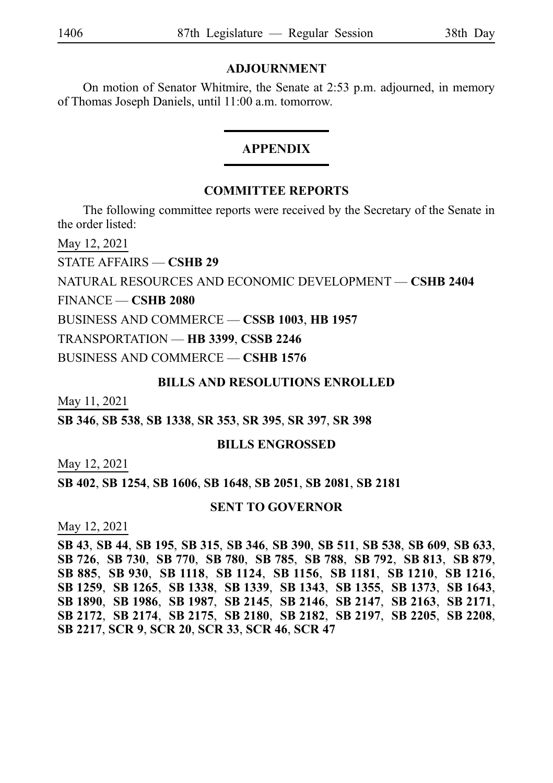#### **ADJOURNMENT**

On motion of Senator Whitmire, the Senate at 2:53 p.m. adjourned, in memory of Thomas Joseph Daniels, until 11:00 a.m. tomorrow.

#### **APPENDIX**

#### **COMMITTEE REPORTS**

The following committee reports were received by the Secretary of the Senate in the order listed:

May 12, 2021

STATE AFFAIRS — **CSHB**i**29**

NATURAL RESOURCES AND ECONOMIC DEVELOPMENT — **CSHB**i**2404**

FINANCE — **CSHB**i**2080**

BUSINESS AND COMMERCE — **CSSB**i**1003**, **HB**i**1957**

TRANSPORTATION — **HB**i**3399**, **CSSB**i**2246**

BUSINESS AND COMMERCE — **CSHB**i**1576**

#### **BILLS AND RESOLUTIONS ENROLLED**

May 11, 2021

**SB**i**346**, **SB**i**538**, **SB**i**1338**, **SR**i**353**, **SR**i**395**, **SR**i**397**, **SR**i**398**

#### **BILLS ENGROSSED**

May 12, 2021

**SB**i**402**, **SB**i**1254**, **SB**i**1606**, **SB**i**1648**, **SB**i**2051**, **SB**i**2081**, **SB**i**2181**

#### **SENT TO GOVERNOR**

May 12, 2021

**SB**i**43**, **SB**i**44**, **SB**i**195**, **SB**i**315**, **SB**i**346**, **SB**i**390**, **SB**i**511**, **SB**i**538**, **SB**i**609**, **SB**i**633**, **SB**i**726**, **SB**i**730**, **SB**i**770**, **SB**i**780**, **SB**i**785**, **SB**i**788**, **SB**i**792**, **SB**i**813**, **SB**i**879**, **SB**i**885**, **SB**i**930**, **SB**i**1118**, **SB**i**1124**, **SB**i**1156**, **SB**i**1181**, **SB**i**1210**, **SB**i**1216**, **SB**i**1259**, **SB**i**1265**, **SB**i**1338**, **SB**i**1339**, **SB**i**1343**, **SB**i**1355**, **SB**i**1373**, **SB**i**1643**, **SB**i**1890**, **SB**i**1986**, **SB**i**1987**, **SB**i**2145**, **SB**i**2146**, **SB**i**2147**, **SB**i**2163**, **SB**i**2171**, **SB**i**2172**, **SB**i**2174**, **SB**i**2175**, **SB**i**2180**, **SB**i**2182**, **SB**i**2197**, **SB**i**2205**, **SB**i**2208**, **SB**i**2217**, **SCR**i**9**, **SCR**i**20**, **SCR**i**33**, **SCR**i**46**, **SCR**i**47**